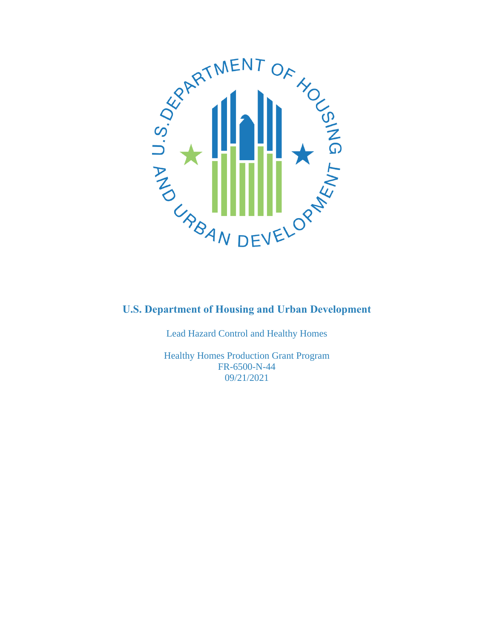

Lead Hazard Control and Healthy Homes

Healthy Homes Production Grant Program FR-6500-N-44 09/21/2021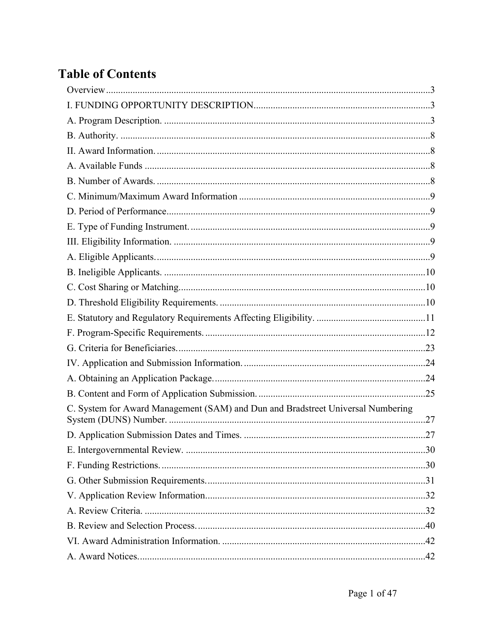# **Table of Contents**

| C. System for Award Management (SAM) and Dun and Bradstreet Universal Numbering |  |
|---------------------------------------------------------------------------------|--|
|                                                                                 |  |
|                                                                                 |  |
|                                                                                 |  |
|                                                                                 |  |
|                                                                                 |  |
|                                                                                 |  |
|                                                                                 |  |
|                                                                                 |  |
|                                                                                 |  |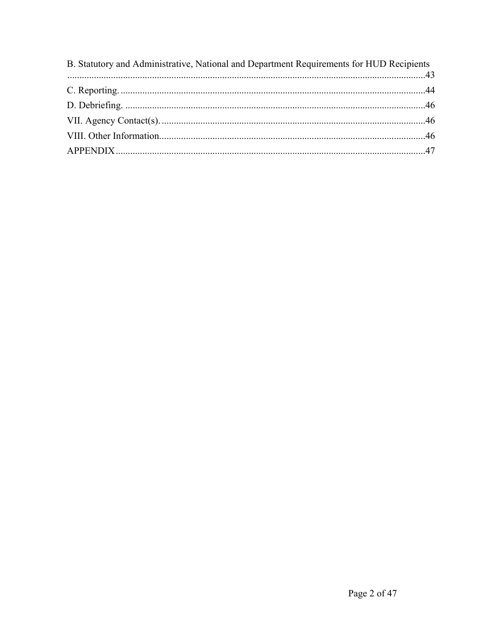| B. Statutory and Administrative, National and Department Requirements for HUD Recipients |  |
|------------------------------------------------------------------------------------------|--|
|                                                                                          |  |
|                                                                                          |  |
|                                                                                          |  |
|                                                                                          |  |
|                                                                                          |  |
|                                                                                          |  |
|                                                                                          |  |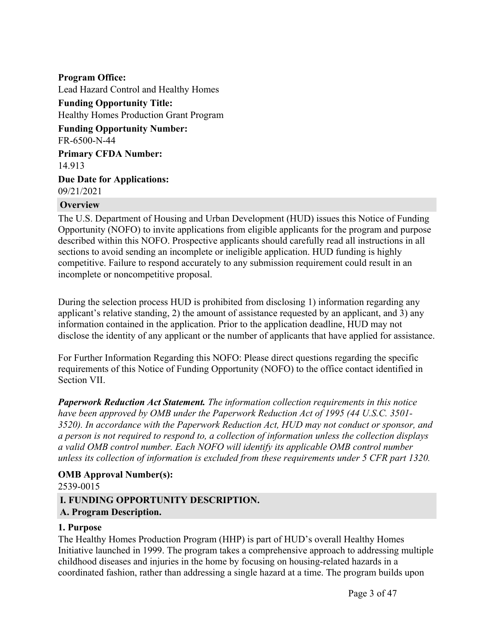**Program Office:** Lead Hazard Control and Healthy Homes **Funding Opportunity Title:** Healthy Homes Production Grant Program **Funding Opportunity Number:** FR-6500-N-44 **Primary CFDA Number:** 14.913 **Due Date for Applications:** 09/21/2021

#### <span id="page-3-0"></span>**Overview**

The U.S. Department of Housing and Urban Development (HUD) issues this Notice of Funding Opportunity (NOFO) to invite applications from eligible applicants for the program and purpose described within this NOFO. Prospective applicants should carefully read all instructions in all sections to avoid sending an incomplete or ineligible application. HUD funding is highly competitive. Failure to respond accurately to any submission requirement could result in an incomplete or noncompetitive proposal.

During the selection process HUD is prohibited from disclosing 1) information regarding any applicant's relative standing, 2) the amount of assistance requested by an applicant, and 3) any information contained in the application. Prior to the application deadline, HUD may not disclose the identity of any applicant or the number of applicants that have applied for assistance.

For Further Information Regarding this NOFO: Please direct questions regarding the specific requirements of this Notice of Funding Opportunity (NOFO) to the office contact identified in Section VII.

*Paperwork Reduction Act Statement. The information collection requirements in this notice have been approved by OMB under the Paperwork Reduction Act of 1995 (44 U.S.C. 3501- 3520). In accordance with the Paperwork Reduction Act, HUD may not conduct or sponsor, and a person is not required to respond to, a collection of information unless the collection displays a valid OMB control number. Each NOFO will identify its applicable OMB control number unless its collection of information is excluded from these requirements under 5 CFR part 1320.*

#### **OMB Approval Number(s):**

#### 2539-0015

#### <span id="page-3-1"></span>**I. FUNDING OPPORTUNITY DESCRIPTION.**

#### <span id="page-3-2"></span>**A. Program Description.**

#### **1. Purpose**

The Healthy Homes Production Program (HHP) is part of HUD's overall Healthy Homes Initiative launched in 1999. The program takes a comprehensive approach to addressing multiple childhood diseases and injuries in the home by focusing on housing-related hazards in a coordinated fashion, rather than addressing a single hazard at a time. The program builds upon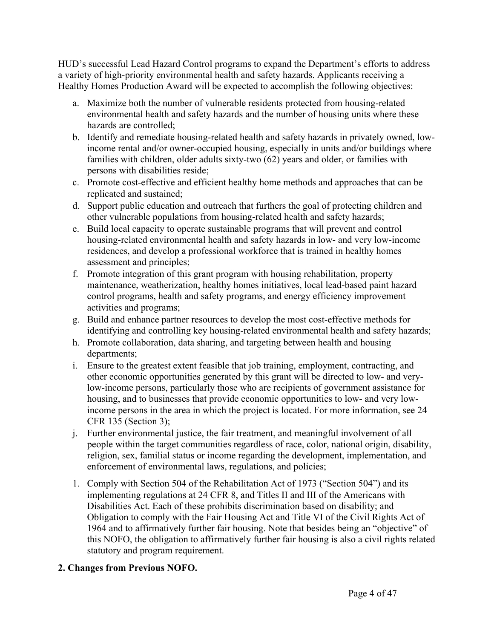HUD's successful Lead Hazard Control programs to expand the Department's efforts to address a variety of high-priority environmental health and safety hazards. Applicants receiving a Healthy Homes Production Award will be expected to accomplish the following objectives:

- a. Maximize both the number of vulnerable residents protected from housing-related environmental health and safety hazards and the number of housing units where these hazards are controlled;
- b. Identify and remediate housing-related health and safety hazards in privately owned, lowincome rental and/or owner-occupied housing, especially in units and/or buildings where families with children, older adults sixty-two (62) years and older, or families with persons with disabilities reside;
- c. Promote cost-effective and efficient healthy home methods and approaches that can be replicated and sustained;
- d. Support public education and outreach that furthers the goal of protecting children and other vulnerable populations from housing-related health and safety hazards;
- e. Build local capacity to operate sustainable programs that will prevent and control housing-related environmental health and safety hazards in low- and very low-income residences, and develop a professional workforce that is trained in healthy homes assessment and principles;
- f. Promote integration of this grant program with housing rehabilitation, property maintenance, weatherization, healthy homes initiatives, local lead-based paint hazard control programs, health and safety programs, and energy efficiency improvement activities and programs;
- g. Build and enhance partner resources to develop the most cost-effective methods for identifying and controlling key housing-related environmental health and safety hazards;
- h. Promote collaboration, data sharing, and targeting between health and housing departments;
- i. Ensure to the greatest extent feasible that job training, employment, contracting, and other economic opportunities generated by this grant will be directed to low- and verylow-income persons, particularly those who are recipients of government assistance for housing, and to businesses that provide economic opportunities to low- and very lowincome persons in the area in which the project is located. For more information, see 24 CFR 135 (Section 3);
- j. Further environmental justice, the fair treatment, and meaningful involvement of all people within the target communities regardless of race, color, national origin, disability, religion, sex, familial status or income regarding the development, implementation, and enforcement of environmental laws, regulations, and policies;
- 1. Comply with Section 504 of the Rehabilitation Act of 1973 ("Section 504") and its implementing regulations at 24 CFR 8, and Titles II and III of the Americans with Disabilities Act. Each of these prohibits discrimination based on disability; and Obligation to comply with the Fair Housing Act and Title VI of the Civil Rights Act of 1964 and to affirmatively further fair housing. Note that besides being an "objective" of this NOFO, the obligation to affirmatively further fair housing is also a civil rights related statutory and program requirement.

# **2. Changes from Previous NOFO.**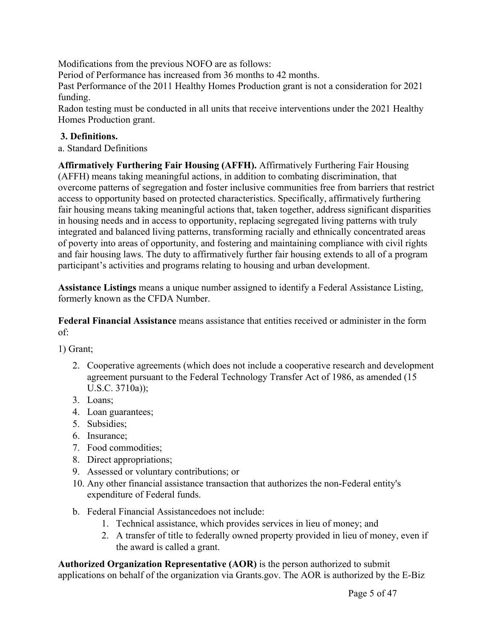Modifications from the previous NOFO are as follows:

Period of Performance has increased from 36 months to 42 months.

Past Performance of the 2011 Healthy Homes Production grant is not a consideration for 2021 funding.

Radon testing must be conducted in all units that receive interventions under the 2021 Healthy Homes Production grant.

#### **3. Definitions.**

a. Standard Definitions

**Affirmatively Furthering Fair Housing (AFFH).** Affirmatively Furthering Fair Housing (AFFH) means taking meaningful actions, in addition to combating discrimination, that overcome patterns of segregation and foster inclusive communities free from barriers that restrict access to opportunity based on protected characteristics. Specifically, affirmatively furthering fair housing means taking meaningful actions that, taken together, address significant disparities in housing needs and in access to opportunity, replacing segregated living patterns with truly integrated and balanced living patterns, transforming racially and ethnically concentrated areas of poverty into areas of opportunity, and fostering and maintaining compliance with civil rights and fair housing laws. The duty to affirmatively further fair housing extends to all of a program participant's activities and programs relating to housing and urban development.

**Assistance Listings** means a unique number assigned to identify a Federal Assistance Listing, formerly known as the CFDA Number.

**Federal Financial Assistance** means assistance that entities received or administer in the form of:

1) Grant;

- 2. Cooperative agreements (which does not include a cooperative research and development agreement pursuant to the Federal Technology Transfer Act of 1986, as amended (15 U.S.C. 3710a));
- 3. Loans;
- 4. Loan guarantees;
- 5. Subsidies;
- 6. Insurance;
- 7. Food commodities;
- 8. Direct appropriations;
- 9. Assessed or voluntary contributions; or
- 10. Any other financial assistance transaction that authorizes the non-Federal entity's expenditure of Federal funds.
- b. Federal Financial Assistancedoes not include:
	- 1. Technical assistance, which provides services in lieu of money; and
	- 2. A transfer of title to federally owned property provided in lieu of money, even if the award is called a grant.

**Authorized Organization Representative (AOR)** is the person authorized to submit applications on behalf of the organization via Grants.gov. The AOR is authorized by the E-Biz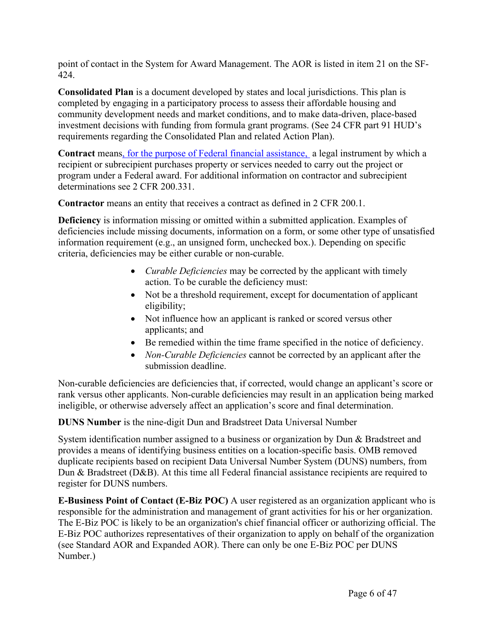point of contact in the System for Award Management. The AOR is listed in item 21 on the SF-424.

**Consolidated Plan** is a document developed by states and local jurisdictions. This plan is completed by engaging in a participatory process to assess their affordable housing and community development needs and market conditions, and to make data-driven, place-based investment decisions with funding from formula grant programs. (See 24 CFR part 91 HUD's requirements regarding the Consolidated Plan and related Action Plan).

**Contract** means, for the purpose of Federal financial assistance, a legal instrument by which a recipient or subrecipient purchases property or services needed to carry out the project or program under a Federal award. For additional information on contractor and subrecipient determinations see 2 CFR 200.331.

**Contractor** means an entity that receives a contract as defined in 2 CFR 200.1.

**Deficiency** is information missing or omitted within a submitted application. Examples of deficiencies include missing documents, information on a form, or some other type of unsatisfied information requirement (e.g., an unsigned form, unchecked box.). Depending on specific criteria, deficiencies may be either curable or non-curable.

- *Curable Deficiencies* may be corrected by the applicant with timely action. To be curable the deficiency must:
- Not be a threshold requirement, except for documentation of applicant eligibility;
- Not influence how an applicant is ranked or scored versus other applicants; and
- Be remedied within the time frame specified in the notice of deficiency.
- *Non-Curable Deficiencies* cannot be corrected by an applicant after the submission deadline.

Non-curable deficiencies are deficiencies that, if corrected, would change an applicant's score or rank versus other applicants. Non-curable deficiencies may result in an application being marked ineligible, or otherwise adversely affect an application's score and final determination.

# **DUNS Number** is the nine-digit Dun and Bradstreet Data Universal Number

System identification number assigned to a business or organization by Dun & Bradstreet and provides a means of identifying business entities on a location-specific basis. OMB removed duplicate recipients based on recipient Data Universal Number System (DUNS) numbers, from Dun & Bradstreet (D&B). At this time all Federal financial assistance recipients are required to register for DUNS numbers.

**E-Business Point of Contact (E-Biz POC)** A user registered as an organization applicant who is responsible for the administration and management of grant activities for his or her organization. The E-Biz POC is likely to be an organization's chief financial officer or authorizing official. The E-Biz POC authorizes representatives of their organization to apply on behalf of the organization (see Standard AOR and Expanded AOR). There can only be one E-Biz POC per DUNS Number.)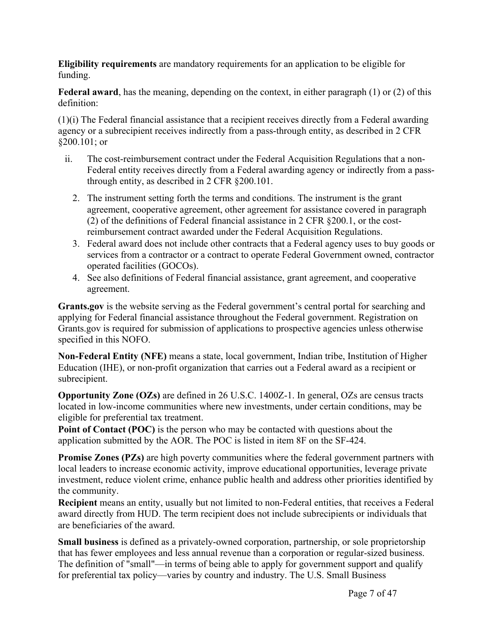**Eligibility requirements** are mandatory requirements for an application to be eligible for funding.

**Federal award**, has the meaning, depending on the context, in either paragraph (1) or (2) of this definition:

(1)(i) The Federal financial assistance that a recipient receives directly from a Federal awarding agency or a subrecipient receives indirectly from a pass-through entity, as described in 2 CFR §200.101; or

- ii. The cost-reimbursement contract under the Federal Acquisition Regulations that a non-Federal entity receives directly from a Federal awarding agency or indirectly from a passthrough entity, as described in 2 CFR §200.101.
	- 2. The instrument setting forth the terms and conditions. The instrument is the grant agreement, cooperative agreement, other agreement for assistance covered in paragraph (2) of the definitions of Federal financial assistance in 2 CFR §200.1, or the costreimbursement contract awarded under the Federal Acquisition Regulations.
	- 3. Federal award does not include other contracts that a Federal agency uses to buy goods or services from a contractor or a contract to operate Federal Government owned, contractor operated facilities (GOCOs).
	- 4. See also definitions of Federal financial assistance, grant agreement, and cooperative agreement.

**Grants.gov** is the website serving as the Federal government's central portal for searching and applying for Federal financial assistance throughout the Federal government. Registration on Grants.gov is required for submission of applications to prospective agencies unless otherwise specified in this NOFO.

**Non-Federal Entity (NFE)** means a state, local government, Indian tribe, Institution of Higher Education (IHE), or non-profit organization that carries out a Federal award as a recipient or subrecipient.

**Opportunity Zone (OZs)** are defined in 26 U.S.C. 1400Z-1. In general, OZs are census tracts located in low-income communities where new investments, under certain conditions, may be eligible for preferential tax treatment.

**Point of Contact (POC)** is the person who may be contacted with questions about the application submitted by the AOR. The POC is listed in item 8F on the SF-424.

**Promise Zones (PZs)** are high poverty communities where the federal government partners with local leaders to increase economic activity, improve educational opportunities, leverage private investment, reduce violent crime, enhance public health and address other priorities identified by the community.

**Recipient** means an entity, usually but not limited to non-Federal entities, that receives a Federal award directly from HUD. The term recipient does not include subrecipients or individuals that are beneficiaries of the award.

**Small business** is defined as a privately-owned corporation, partnership, or sole proprietorship that has fewer employees and less annual revenue than a corporation or regular-sized business. The definition of "small"—in terms of being able to apply for government support and qualify for preferential tax policy—varies by country and industry. The U.S. Small Business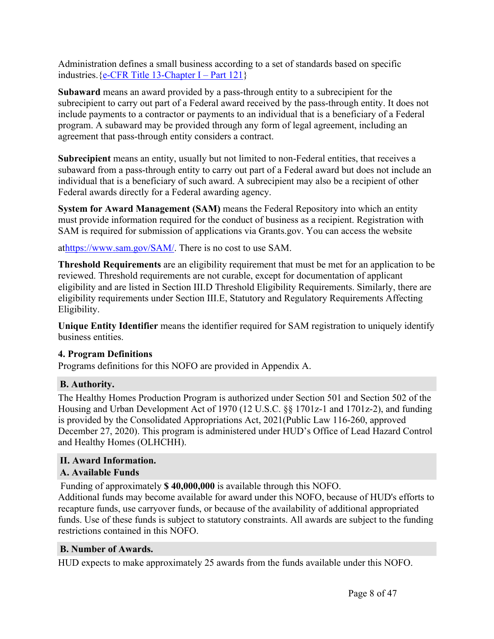Administration defines a small business according to a set of standards based on specific industries.  ${e$ -CFR Title [13-Chapter](https://www.ecfr.gov/cgi-bin/text-idx?SID=0ff5f0839abff4eec707b4478ed733c6&mc=true&node=pt13.1.121&rgn=div5&se13.1.121_1101) I – Part 121}

**Subaward** means an award provided by a pass-through entity to a subrecipient for the subrecipient to carry out part of a Federal award received by the pass-through entity. It does not include payments to a contractor or payments to an individual that is a beneficiary of a Federal program. A subaward may be provided through any form of legal agreement, including an agreement that pass-through entity considers a contract.

**Subrecipient** means an entity, usually but not limited to non-Federal entities, that receives a subaward from a pass-through entity to carry out part of a Federal award but does not include an individual that is a beneficiary of such award. A subrecipient may also be a recipient of other Federal awards directly for a Federal awarding agency.

**System for Award Management (SAM)** means the Federal Repository into which an entity must provide information required for the conduct of business as a recipient. Registration with SAM is required for submission of applications via Grants.gov. You can access the website

at<https://www.sam.gov/SAM/>. There is no cost to use SAM.

**Threshold Requirements** are an eligibility requirement that must be met for an application to be reviewed. Threshold requirements are not curable, except for documentation of applicant eligibility and are listed in Section III.D Threshold Eligibility Requirements. Similarly, there are eligibility requirements under Section III.E, Statutory and Regulatory Requirements Affecting Eligibility.

**Unique Entity Identifier** means the identifier required for SAM registration to uniquely identify business entities.

# **4. Program Definitions**

Programs definitions for this NOFO are provided in Appendix A.

# <span id="page-8-0"></span>**B. Authority.**

The Healthy Homes Production Program is authorized under Section 501 and Section 502 of the Housing and Urban Development Act of 1970 (12 U.S.C. §§ 1701z-1 and 1701z-2), and funding is provided by the Consolidated Appropriations Act, 2021(Public Law 116-260, approved December 27, 2020). This program is administered under HUD's Office of Lead Hazard Control and Healthy Homes (OLHCHH).

# <span id="page-8-1"></span>**II. Award Information.**

# <span id="page-8-2"></span>**A. Available Funds**

Funding of approximately **\$ 40,000,000** is available through this NOFO.

Additional funds may become available for award under this NOFO, because of HUD's efforts to recapture funds, use carryover funds, or because of the availability of additional appropriated funds. Use of these funds is subject to statutory constraints. All awards are subject to the funding restrictions contained in this NOFO.

# <span id="page-8-3"></span>**B. Number of Awards.**

HUD expects to make approximately 25 awards from the funds available under this NOFO.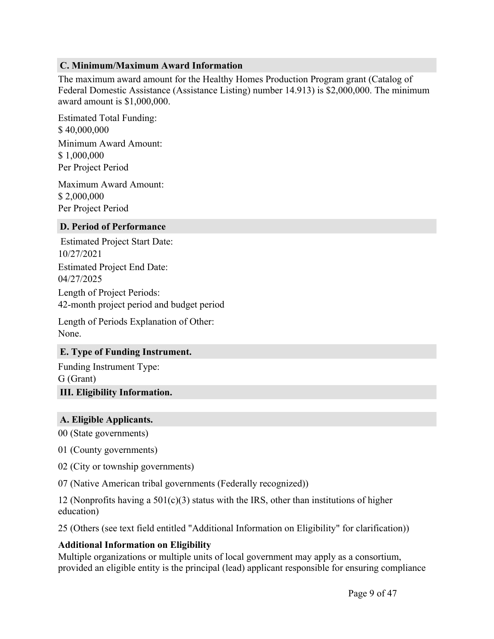#### <span id="page-9-0"></span>**C. Minimum/Maximum Award Information**

The maximum award amount for the Healthy Homes Production Program grant (Catalog of Federal Domestic Assistance (Assistance Listing) number 14.913) is \$2,000,000. The minimum award amount is \$1,000,000.

Estimated Total Funding: \$ 40,000,000 Minimum Award Amount: \$ 1,000,000 Per Project Period

Maximum Award Amount: \$ 2,000,000 Per Project Period

#### <span id="page-9-1"></span>**D. Period of Performance**

Estimated Project Start Date: 10/27/2021 Estimated Project End Date: 04/27/2025 Length of Project Periods: 42-month project period and budget period

Length of Periods Explanation of Other: None.

#### <span id="page-9-2"></span>**E. Type of Funding Instrument.**

Funding Instrument Type: G (Grant) **III. Eligibility Information.**

# <span id="page-9-4"></span><span id="page-9-3"></span>**A. Eligible Applicants.**

00 (State governments)

01 (County governments)

02 (City or township governments)

07 (Native American tribal governments (Federally recognized))

12 (Nonprofits having a  $501(c)(3)$  status with the IRS, other than institutions of higher education)

25 (Others (see text field entitled "Additional Information on Eligibility" for clarification))

#### **Additional Information on Eligibility**

Multiple organizations or multiple units of local government may apply as a consortium, provided an eligible entity is the principal (lead) applicant responsible for ensuring compliance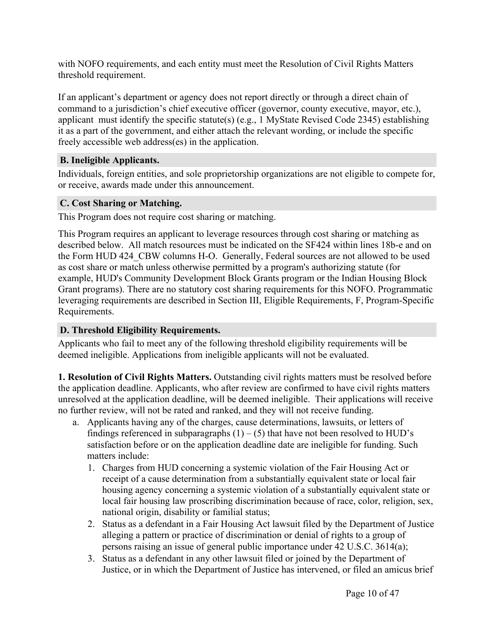with NOFO requirements, and each entity must meet the Resolution of Civil Rights Matters threshold requirement.

If an applicant's department or agency does not report directly or through a direct chain of command to a jurisdiction's chief executive officer (governor, county executive, mayor, etc.), applicant must identify the specific statute(s) (e.g., 1 MyState Revised Code 2345) establishing it as a part of the government, and either attach the relevant wording, or include the specific freely accessible web address(es) in the application.

# <span id="page-10-0"></span>**B. Ineligible Applicants.**

Individuals, foreign entities, and sole proprietorship organizations are not eligible to compete for, or receive, awards made under this announcement.

# <span id="page-10-1"></span>**C. Cost Sharing or Matching.**

This Program does not require cost sharing or matching.

This Program requires an applicant to leverage resources through cost sharing or matching as described below. All match resources must be indicated on the SF424 within lines 18b-e and on the Form HUD 424 CBW columns H-O. Generally, Federal sources are not allowed to be used as cost share or match unless otherwise permitted by a program's authorizing statute (for example, HUD's Community Development Block Grants program or the Indian Housing Block Grant programs). There are no statutory cost sharing requirements for this NOFO. Programmatic leveraging requirements are described in Section III, Eligible Requirements, F, Program-Specific Requirements.

# <span id="page-10-2"></span>**D. Threshold Eligibility Requirements.**

Applicants who fail to meet any of the following threshold eligibility requirements will be deemed ineligible. Applications from ineligible applicants will not be evaluated.

**1. Resolution of Civil Rights Matters.** Outstanding civil rights matters must be resolved before the application deadline. Applicants, who after review are confirmed to have civil rights matters unresolved at the application deadline, will be deemed ineligible. Their applications will receive no further review, will not be rated and ranked, and they will not receive funding.

- a. Applicants having any of the charges, cause determinations, lawsuits, or letters of findings referenced in subparagraphs  $(1) - (5)$  that have not been resolved to HUD's satisfaction before or on the application deadline date are ineligible for funding. Such matters include:
	- 1. Charges from HUD concerning a systemic violation of the Fair Housing Act or receipt of a cause determination from a substantially equivalent state or local fair housing agency concerning a systemic violation of a substantially equivalent state or local fair housing law proscribing discrimination because of race, color, religion, sex, national origin, disability or familial status;
	- 2. Status as a defendant in a Fair Housing Act lawsuit filed by the Department of Justice alleging a pattern or practice of discrimination or denial of rights to a group of persons raising an issue of general public importance under 42 U.S.C. 3614(a);
	- 3. Status as a defendant in any other lawsuit filed or joined by the Department of Justice, or in which the Department of Justice has intervened, or filed an amicus brief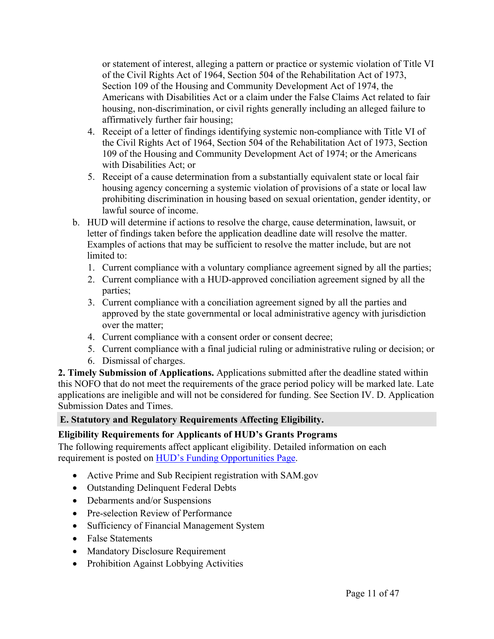or statement of interest, alleging a pattern or practice or systemic violation of Title VI of the Civil Rights Act of 1964, Section 504 of the Rehabilitation Act of 1973, Section 109 of the Housing and Community Development Act of 1974, the Americans with Disabilities Act or a claim under the False Claims Act related to fair housing, non-discrimination, or civil rights generally including an alleged failure to affirmatively further fair housing;

- 4. Receipt of a letter of findings identifying systemic non-compliance with Title VI of the Civil Rights Act of 1964, Section 504 of the Rehabilitation Act of 1973, Section 109 of the Housing and Community Development Act of 1974; or the Americans with Disabilities Act; or
- 5. Receipt of a cause determination from a substantially equivalent state or local fair housing agency concerning a systemic violation of provisions of a state or local law prohibiting discrimination in housing based on sexual orientation, gender identity, or lawful source of income.
- b. HUD will determine if actions to resolve the charge, cause determination, lawsuit, or letter of findings taken before the application deadline date will resolve the matter. Examples of actions that may be sufficient to resolve the matter include, but are not limited to:
	- 1. Current compliance with a voluntary compliance agreement signed by all the parties;
	- 2. Current compliance with a HUD-approved conciliation agreement signed by all the parties;
	- 3. Current compliance with a conciliation agreement signed by all the parties and approved by the state governmental or local administrative agency with jurisdiction over the matter;
	- 4. Current compliance with a consent order or consent decree;
	- 5. Current compliance with a final judicial ruling or administrative ruling or decision; or
	- 6. Dismissal of charges.

**2. Timely Submission of Applications.** Applications submitted after the deadline stated within this NOFO that do not meet the requirements of the grace period policy will be marked late. Late applications are ineligible and will not be considered for funding. See Section IV. D. Application Submission Dates and Times.

# <span id="page-11-0"></span>**E. Statutory and Regulatory Requirements Affecting Eligibility.**

#### **Eligibility Requirements for Applicants of HUD's Grants Programs**

The following requirements affect applicant eligibility. Detailed information on each requirement is posted on HUD's Funding [Opportunities](https://www.hud.gov/program_offices/spm/gmomgmt/grantsinfo/fundingopps) Page.

- Active Prime and Sub Recipient registration with SAM.gov
- Outstanding Delinquent Federal Debts
- Debarments and/or Suspensions
- Pre-selection Review of Performance
- Sufficiency of Financial Management System
- False Statements
- Mandatory Disclosure Requirement
- Prohibition Against Lobbying Activities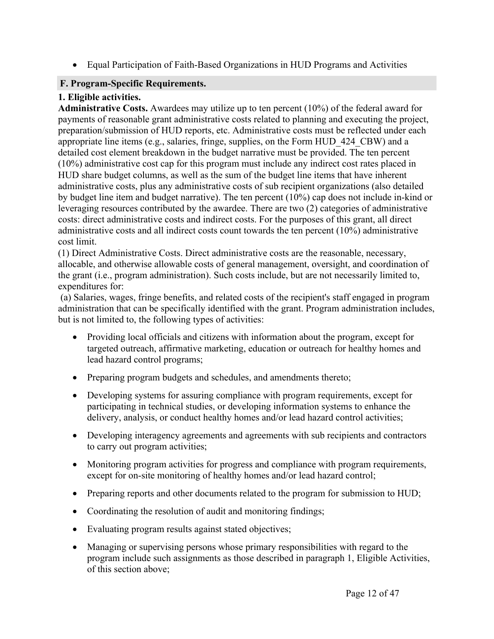Equal Participation of Faith-Based Organizations in HUD Programs and Activities

# <span id="page-12-0"></span>**F. Program-Specific Requirements.**

# **1. Eligible activities.**

**Administrative Costs.** Awardees may utilize up to ten percent (10%) of the federal award for payments of reasonable grant administrative costs related to planning and executing the project, preparation/submission of HUD reports, etc. Administrative costs must be reflected under each appropriate line items (e.g., salaries, fringe, supplies, on the Form HUD\_424\_CBW) and a detailed cost element breakdown in the budget narrative must be provided. The ten percent (10%) administrative cost cap for this program must include any indirect cost rates placed in HUD share budget columns, as well as the sum of the budget line items that have inherent administrative costs, plus any administrative costs of sub recipient organizations (also detailed by budget line item and budget narrative). The ten percent (10%) cap does not include in-kind or leveraging resources contributed by the awardee. There are two (2) categories of administrative costs: direct administrative costs and indirect costs. For the purposes of this grant, all direct administrative costs and all indirect costs count towards the ten percent (10%) administrative cost limit.

(1) Direct Administrative Costs. Direct administrative costs are the reasonable, necessary, allocable, and otherwise allowable costs of general management, oversight, and coordination of the grant (i.e., program administration). Such costs include, but are not necessarily limited to, expenditures for:

(a) Salaries, wages, fringe benefits, and related costs of the recipient's staff engaged in program administration that can be specifically identified with the grant. Program administration includes, but is not limited to, the following types of activities:

- Providing local officials and citizens with information about the program, except for targeted outreach, affirmative marketing, education or outreach for healthy homes and lead hazard control programs;
- Preparing program budgets and schedules, and amendments thereto;
- Developing systems for assuring compliance with program requirements, except for participating in technical studies, or developing information systems to enhance the delivery, analysis, or conduct healthy homes and/or lead hazard control activities;
- Developing interagency agreements and agreements with sub recipients and contractors to carry out program activities;
- Monitoring program activities for progress and compliance with program requirements, except for on-site monitoring of healthy homes and/or lead hazard control;
- Preparing reports and other documents related to the program for submission to HUD;
- Coordinating the resolution of audit and monitoring findings;
- Evaluating program results against stated objectives;
- Managing or supervising persons whose primary responsibilities with regard to the program include such assignments as those described in paragraph 1, Eligible Activities, of this section above;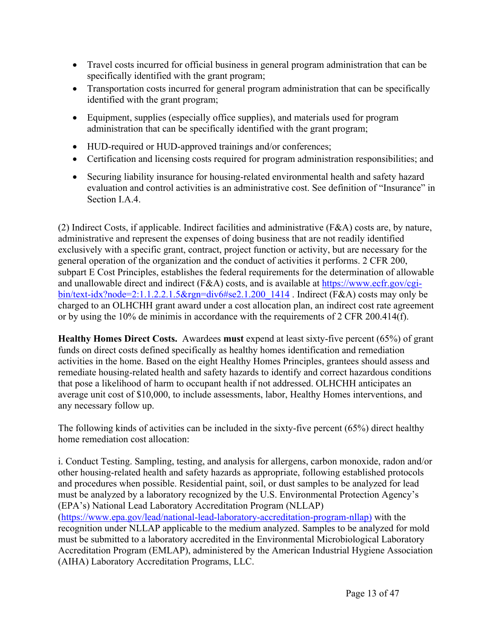- Travel costs incurred for official business in general program administration that can be specifically identified with the grant program;
- Transportation costs incurred for general program administration that can be specifically identified with the grant program;
- Equipment, supplies (especially office supplies), and materials used for program administration that can be specifically identified with the grant program;
- HUD-required or HUD-approved trainings and/or conferences;
- Certification and licensing costs required for program administration responsibilities; and
- Securing liability insurance for housing-related environmental health and safety hazard evaluation and control activities is an administrative cost. See definition of "Insurance" in Section I.A.4.

(2) Indirect Costs, if applicable. Indirect facilities and administrative (F&A) costs are, by nature, administrative and represent the expenses of doing business that are not readily identified exclusively with a specific grant, contract, project function or activity, but are necessary for the general operation of the organization and the conduct of activities it performs. 2 CFR 200, subpart E Cost Principles, establishes the federal requirements for the determination of allowable and unallowable direct and indirect (F&A) costs, and is available at [https://www.ecfr.gov/cgi](https://www.ecfr.gov/cgi-bin/text-idx?node=2:1.1.2.2.1.5&rgn=div6#se2.1.200_1414)[bin/text-idx?node=2:1.1.2.2.1.5&rgn=div6#se2.1.200\\_1414](https://www.ecfr.gov/cgi-bin/text-idx?node=2:1.1.2.2.1.5&rgn=div6#se2.1.200_1414) . Indirect (F&A) costs may only be charged to an OLHCHH grant award under a cost allocation plan, an indirect cost rate agreement or by using the 10% de minimis in accordance with the requirements of 2 CFR 200.414(f).

**Healthy Homes Direct Costs.** Awardees **must** expend at least sixty-five percent (65%) of grant funds on direct costs defined specifically as healthy homes identification and remediation activities in the home. Based on the eight Healthy Homes Principles, grantees should assess and remediate housing-related health and safety hazards to identify and correct hazardous conditions that pose a likelihood of harm to occupant health if not addressed. OLHCHH anticipates an average unit cost of \$10,000, to include assessments, labor, Healthy Homes interventions, and any necessary follow up.

The following kinds of activities can be included in the sixty-five percent (65%) direct healthy home remediation cost allocation:

i. Conduct Testing. Sampling, testing, and analysis for allergens, carbon monoxide, radon and/or other housing-related health and safety hazards as appropriate, following established protocols and procedures when possible. Residential paint, soil, or dust samples to be analyzed for lead must be analyzed by a laboratory recognized by the U.S. Environmental Protection Agency's (EPA's) National Lead Laboratory Accreditation Program (NLLAP) ([https://www.epa.gov/lead/national-lead-laboratory-accreditation-program-nllap\)](https://www.epa.gov/lead/national-lead-laboratory-accreditation-program-nllap<u>)</u>�) with the recognition under NLLAP applicable to the medium analyzed. Samples to be analyzed for mold must be submitted to a laboratory accredited in the Environmental Microbiological Laboratory Accreditation Program (EMLAP), administered by the American Industrial Hygiene Association (AIHA) Laboratory Accreditation Programs, LLC.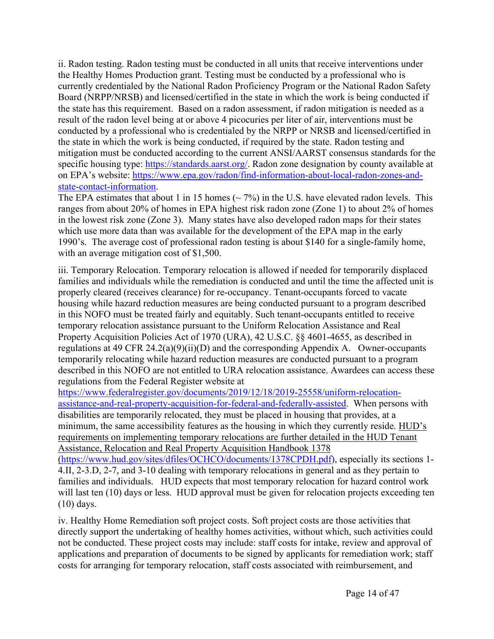ii. Radon testing. Radon testing must be conducted in all units that receive interventions under the Healthy Homes Production grant. Testing must be conducted by a professional who is currently credentialed by the National Radon Proficiency Program or the National Radon Safety Board (NRPP/NRSB) and licensed/certified in the state in which the work is being conducted if the state has this requirement. Based on a radon assessment, if radon mitigation is needed as a result of the radon level being at or above 4 picocuries per liter of air, interventions must be conducted by a professional who is credentialed by the NRPP or NRSB and licensed/certified in the state in which the work is being conducted, if required by the state. Radon testing and mitigation must be conducted according to the current ANSI/AARST consensus standards for the specific housing type: [https://standards.aarst.org/.](https://gcc01.safelinks.protection.outlook.com/?url=https%3A%2F%2Fstandards.aarst.org%2F&data=04%7C01%7CKral.Katrin%40epa.gov%7C002267d97ddf4a06761808d8bc77db3b%7C88b378b367484867acf976aacbeca6a7%7C0%7C0%7C637466570248519416%7CUnknown%7CTWFpbGZsb3d8eyJWIjoiMC4wLjAwMDAiLCJQIjoiV2luMzIiLCJBTiI6Ik1haWwiLCJXVCI6Mn0%3D%7C1000&sdata=NL4QodD4wIDe3Xchcvd0%2BV5wD3%2B85LPSXWgMs3Vl%2B3U%3D&reserved=0) Radon zone designation by county available at on EPA's website: [https://www.epa.gov/radon/find-information-about-local-radon-zones-and](https://www.epa.gov/radon/find-information-about-local-radon-zones-and-state-contact-information)[state-contact-information](https://www.epa.gov/radon/find-information-about-local-radon-zones-and-state-contact-information).

The EPA estimates that about 1 in 15 homes ( $\sim$  7%) in the U.S. have elevated radon levels. This ranges from about 20% of homes in EPA highest risk radon zone (Zone 1) to about 2% of homes in the lowest risk zone (Zone 3). Many states have also developed radon maps for their states which use more data than was available for the development of the EPA map in the early 1990's. The average cost of professional radon testing is about \$140 for a single-family home, with an average mitigation cost of \$1,500.

iii. Temporary Relocation. Temporary relocation is allowed if needed for temporarily displaced families and individuals while the remediation is conducted and until the time the affected unit is properly cleared (receives clearance) for re-occupancy. Tenant-occupants forced to vacate housing while hazard reduction measures are being conducted pursuant to a program described in this NOFO must be treated fairly and equitably. Such tenant-occupants entitled to receive temporary relocation assistance pursuant to the Uniform Relocation Assistance and Real Property Acquisition Policies Act of 1970 (URA), 42 U.S.C. §§ 4601-4655, as described in regulations at 49 CFR 24.2(a)(9)(ii)(D) and the corresponding Appendix A. Owner-occupants temporarily relocating while hazard reduction measures are conducted pursuant to a program described in this NOFO are not entitled to URA relocation assistance. Awardees can access these regulations from the Federal Register website at

[https://www.federalregister.gov/documents/2019/12/18/2019-25558/uniform-relocation](https://www.federalregister.gov/documents/2019/12/18/2019-25558/uniform-relocation-assistance-and-real-property-acquisition-for-federal-and-federally-assisted)[assistance-and-real-property-acquisition-for-federal-and-federally-assisted](https://www.federalregister.gov/documents/2019/12/18/2019-25558/uniform-relocation-assistance-and-real-property-acquisition-for-federal-and-federally-assisted). When persons with disabilities are temporarily relocated, they must be placed in housing that provides, at a minimum, the same accessibility features as the housing in which they currently reside. HUD's requirements on implementing temporary relocations are further detailed in the HUD Tenant Assistance, Relocation and Real Property Acquisition Handbook 1378

(<https://www.hud.gov/sites/dfiles/OCHCO/documents/1378CPDH.pdf>), especially its sections 1- 4.II, 2-3.D, 2-7, and 3-10 dealing with temporary relocations in general and as they pertain to families and individuals. HUD expects that most temporary relocation for hazard control work will last ten (10) days or less. HUD approval must be given for relocation projects exceeding ten (10) days.

iv. Healthy Home Remediation soft project costs. Soft project costs are those activities that directly support the undertaking of healthy homes activities, without which, such activities could not be conducted. These project costs may include: staff costs for intake, review and approval of applications and preparation of documents to be signed by applicants for remediation work; staff costs for arranging for temporary relocation, staff costs associated with reimbursement, and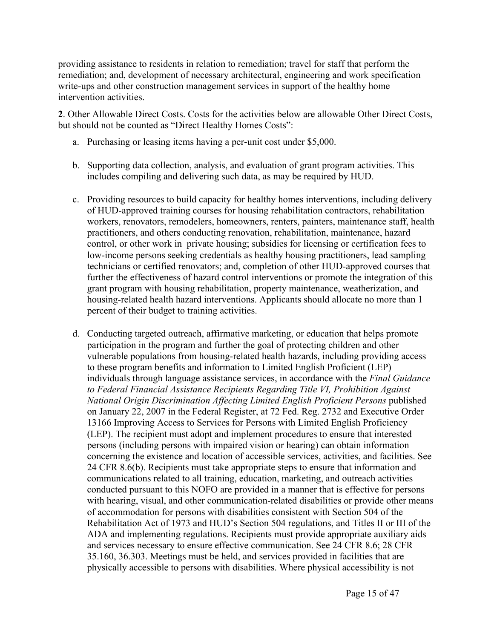providing assistance to residents in relation to remediation; travel for staff that perform the remediation; and, development of necessary architectural, engineering and work specification write-ups and other construction management services in support of the healthy home intervention activities.

**2**. Other Allowable Direct Costs. Costs for the activities below are allowable Other Direct Costs, but should not be counted as "Direct Healthy Homes Costs":

- a. Purchasing or leasing items having a per-unit cost under \$5,000.
- b. Supporting data collection, analysis, and evaluation of grant program activities. This includes compiling and delivering such data, as may be required by HUD.
- c. Providing resources to build capacity for healthy homes interventions, including delivery of HUD-approved training courses for housing rehabilitation contractors, rehabilitation workers, renovators, remodelers, homeowners, renters, painters, maintenance staff, health practitioners, and others conducting renovation, rehabilitation, maintenance, hazard control, or other work in private housing; subsidies for licensing or certification fees to low-income persons seeking credentials as healthy housing practitioners, lead sampling technicians or certified renovators; and, completion of other HUD-approved courses that further the effectiveness of hazard control interventions or promote the integration of this grant program with housing rehabilitation, property maintenance, weatherization, and housing-related health hazard interventions. Applicants should allocate no more than 1 percent of their budget to training activities.
- d. Conducting targeted outreach, affirmative marketing, or education that helps promote participation in the program and further the goal of protecting children and other vulnerable populations from housing-related health hazards, including providing access to these program benefits and information to Limited English Proficient (LEP) individuals through language assistance services, in accordance with the *Final Guidance to Federal Financial Assistance Recipients Regarding Title VI, Prohibition Against National Origin Discrimination Affecting Limited English Proficient Persons* published on January 22, 2007 in the Federal Register, at 72 Fed. Reg. 2732 and Executive Order 13166 Improving Access to Services for Persons with Limited English Proficiency (LEP). The recipient must adopt and implement procedures to ensure that interested persons (including persons with impaired vision or hearing) can obtain information concerning the existence and location of accessible services, activities, and facilities. See 24 CFR 8.6(b). Recipients must take appropriate steps to ensure that information and communications related to all training, education, marketing, and outreach activities conducted pursuant to this NOFO are provided in a manner that is effective for persons with hearing, visual, and other communication-related disabilities or provide other means of accommodation for persons with disabilities consistent with Section 504 of the Rehabilitation Act of 1973 and HUD's Section 504 regulations, and Titles II or III of the ADA and implementing regulations. Recipients must provide appropriate auxiliary aids and services necessary to ensure effective communication. See 24 CFR 8.6; 28 CFR 35.160, 36.303. Meetings must be held, and services provided in facilities that are physically accessible to persons with disabilities. Where physical accessibility is not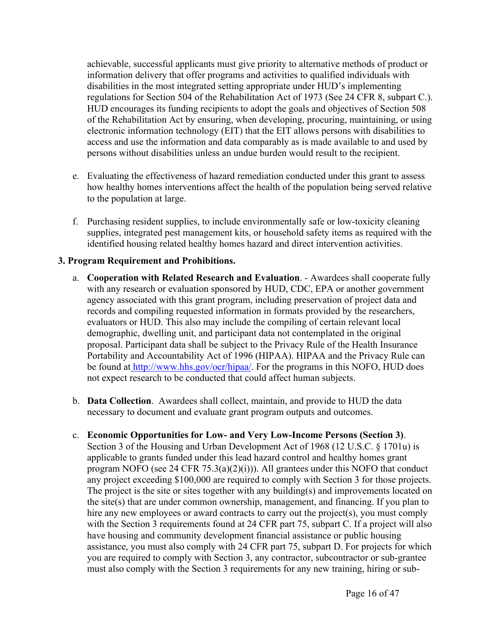achievable, successful applicants must give priority to alternative methods of product or information delivery that offer programs and activities to qualified individuals with disabilities in the most integrated setting appropriate under HUD's implementing regulations for Section 504 of the Rehabilitation Act of 1973 (See 24 CFR 8, subpart C.). HUD encourages its funding recipients to adopt the goals and objectives of Section 508 of the Rehabilitation Act by ensuring, when developing, procuring, maintaining, or using electronic information technology (EIT) that the EIT allows persons with disabilities to access and use the information and data comparably as is made available to and used by persons without disabilities unless an undue burden would result to the recipient.

- e. Evaluating the effectiveness of hazard remediation conducted under this grant to assess how healthy homes interventions affect the health of the population being served relative to the population at large.
- f. Purchasing resident supplies, to include environmentally safe or low-toxicity cleaning supplies, integrated pest management kits, or household safety items as required with the identified housing related healthy homes hazard and direct intervention activities.

#### **3. Program Requirement and Prohibitions.**

- a. **Cooperation with Related Research and Evaluation**. Awardees shall cooperate fully with any research or evaluation sponsored by HUD, CDC, EPA or another government agency associated with this grant program, including preservation of project data and records and compiling requested information in formats provided by the researchers, evaluators or HUD. This also may include the compiling of certain relevant local demographic, dwelling unit, and participant data not contemplated in the original proposal. Participant data shall be subject to the Privacy Rule of the Health Insurance Portability and Accountability Act of 1996 (HIPAA). HIPAA and the Privacy Rule can be found at [http://www.hhs.gov/ocr/hipaa/.](http://www.hhs.gov/ocr/hipaa/) For the programs in this NOFO, HUD does not expect research to be conducted that could affect human subjects.
- b. **Data Collection**. Awardees shall collect, maintain, and provide to HUD the data necessary to document and evaluate grant program outputs and outcomes.
- c. **Economic Opportunities for Low- and Very Low-Income Persons (Section 3)**. Section 3 of the Housing and Urban Development Act of 1968 (12 U.S.C. § 1701u) is applicable to grants funded under this lead hazard control and healthy homes grant program NOFO (see 24 CFR  $75.3(a)(2)(i)$ )). All grantees under this NOFO that conduct any project exceeding \$100,000 are required to comply with Section 3 for those projects. The project is the site or sites together with any building(s) and improvements located on the site(s) that are under common ownership, management, and financing. If you plan to hire any new employees or award contracts to carry out the project(s), you must comply with the Section 3 requirements found at 24 CFR part 75, subpart C. If a project will also have housing and community development financial assistance or public housing assistance, you must also comply with 24 CFR part 75, subpart D. For projects for which you are required to comply with Section 3, any contractor, subcontractor or sub-grantee must also comply with the Section 3 requirements for any new training, hiring or sub-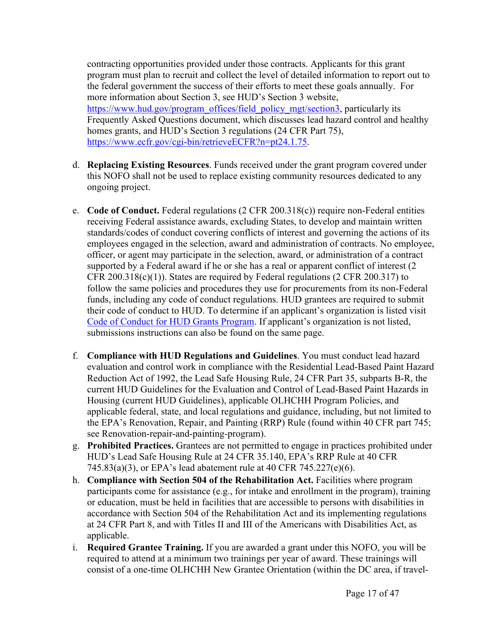contracting opportunities provided under those contracts. Applicants for this grant program must plan to recruit and collect the level of detailed information to report out to the federal government the success of their efforts to meet these goals annually. For more information about Section 3, see HUD's Section 3 website, [https://www.hud.gov/program\\_offices/field\\_policy\\_mgt/section3](https://www.hud.gov/program_offices/field_policy_mgt/section3), particularly its Frequently Asked Questions document, which discusses lead hazard control and healthy homes grants, and HUD's Section 3 regulations (24 CFR Part 75), [https://www.ecfr.gov/cgi-bin/retrieveECFR?n=pt24.1.75.](https://www.ecfr.gov/cgi-bin/retrieveECFR?n=pt24.1.75)

- d. **Replacing Existing Resources**. Funds received under the grant program covered under this NOFO shall not be used to replace existing community resources dedicated to any ongoing project.
- e. **Code of Conduct.** Federal regulations (2 CFR 200.318(c)) require non-Federal entities receiving Federal assistance awards, excluding States, to develop and maintain written standards/codes of conduct covering conflicts of interest and governing the actions of its employees engaged in the selection, award and administration of contracts. No employee, officer, or agent may participate in the selection, award, or administration of a contract supported by a Federal award if he or she has a real or apparent conflict of interest (2 CFR 200.318(c)(1)). States are required by Federal regulations (2 CFR 200.317) to follow the same policies and procedures they use for procurements from its non-Federal funds, including any code of conduct regulations. HUD grantees are required to submit their code of conduct to HUD. To determine if an applicant's organization is listed visit Code of Conduct for HUD Grants [Program](https://www.hud.gov/program_offices/spm/gmomgmt/grantsinfo/conductgrants). If applicant's organization is not listed, submissions instructions can also be found on the same page.
- f. **Compliance with HUD Regulations and Guidelines**. You must conduct lead hazard evaluation and control work in compliance with the Residential Lead-Based Paint Hazard Reduction Act of 1992, the Lead Safe Housing Rule, 24 CFR Part 35, subparts B-R, the current HUD Guidelines for the Evaluation and Control of Lead-Based Paint Hazards in Housing (current HUD Guidelines), applicable OLHCHH Program Policies, and applicable federal, state, and local regulations and guidance, including, but not limited to the EPA's Renovation, Repair, and Painting (RRP) Rule (found within 40 CFR part 745; see Renovation-repair-and-painting-program).
- g. **Prohibited Practices.** Grantees are not permitted to engage in practices prohibited under HUD's Lead Safe Housing Rule at 24 CFR 35.140, EPA's RRP Rule at 40 CFR 745.83(a)(3), or EPA's lead abatement rule at 40 CFR 745.227(e)(6).
- h. **Compliance with Section 504 of the Rehabilitation Act.** Facilities where program participants come for assistance (e.g., for intake and enrollment in the program), training or education, must be held in facilities that are accessible to persons with disabilities in accordance with Section 504 of the Rehabilitation Act and its implementing regulations at 24 CFR Part 8, and with Titles II and III of the Americans with Disabilities Act, as applicable.
- i. **Required Grantee Training.** If you are awarded a grant under this NOFO, you will be required to attend at a minimum two trainings per year of award. These trainings will consist of a one-time OLHCHH New Grantee Orientation (within the DC area, if travel-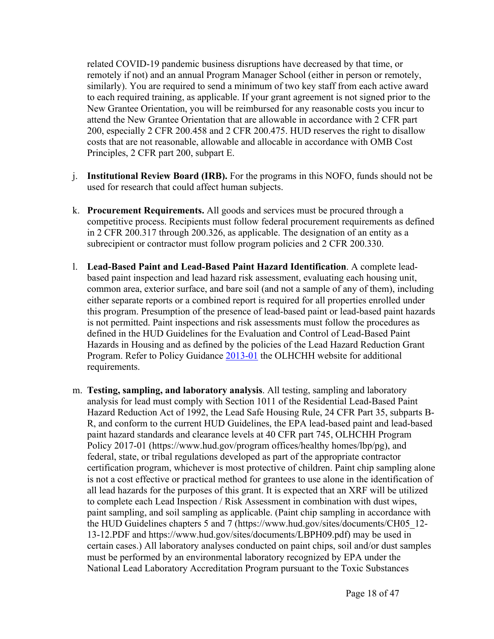related COVID-19 pandemic business disruptions have decreased by that time, or remotely if not) and an annual Program Manager School (either in person or remotely, similarly). You are required to send a minimum of two key staff from each active award to each required training, as applicable. If your grant agreement is not signed prior to the New Grantee Orientation, you will be reimbursed for any reasonable costs you incur to attend the New Grantee Orientation that are allowable in accordance with 2 CFR part 200, especially 2 CFR 200.458 and 2 CFR 200.475. HUD reserves the right to disallow costs that are not reasonable, allowable and allocable in accordance with OMB Cost Principles, 2 CFR part 200, subpart E.

- j. **Institutional Review Board (IRB).** For the programs in this NOFO, funds should not be used for research that could affect human subjects.
- k. **Procurement Requirements.** All goods and services must be procured through a competitive process. Recipients must follow federal procurement requirements as defined in 2 CFR 200.317 through 200.326, as applicable. The designation of an entity as a subrecipient or contractor must follow program policies and 2 CFR 200.330.
- l. **Lead-Based Paint and Lead-Based Paint Hazard Identification**. A complete leadbased paint inspection and lead hazard risk assessment, evaluating each housing unit, common area, exterior surface, and bare soil (and not a sample of any of them), including either separate reports or a combined report is required for all properties enrolled under this program. Presumption of the presence of lead-based paint or lead-based paint hazards is not permitted. Paint inspections and risk assessments must follow the procedures as defined in the HUD Guidelines for the Evaluation and Control of Lead-Based Paint Hazards in Housing and as defined by the policies of the Lead Hazard Reduction Grant Program. Refer to Policy Guidance [2013-01](https://www.hud.gov/sites/documents/PGI_2013-01.PDF) the OLHCHH website for additional requirements.
- m. **Testing, sampling, and laboratory analysis**. All testing, sampling and laboratory analysis for lead must comply with Section 1011 of the Residential Lead-Based Paint Hazard Reduction Act of 1992, the Lead Safe Housing Rule, 24 CFR Part 35, subparts B-R, and conform to the current HUD Guidelines, the EPA lead-based paint and lead-based paint hazard standards and clearance levels at 40 CFR part 745, OLHCHH Program Policy 2017-01 (https://www.hud.gov/program offices/healthy homes/lbp/pg), and federal, state, or tribal regulations developed as part of the appropriate contractor certification program, whichever is most protective of children. Paint chip sampling alone is not a cost effective or practical method for grantees to use alone in the identification of all lead hazards for the purposes of this grant. It is expected that an XRF will be utilized to complete each Lead Inspection / Risk Assessment in combination with dust wipes, paint sampling, and soil sampling as applicable. (Paint chip sampling in accordance with the HUD Guidelines chapters 5 and 7 (https://www.hud.gov/sites/documents/CH05\_12- 13-12.PDF and https://www.hud.gov/sites/documents/LBPH09.pdf) may be used in certain cases.) All laboratory analyses conducted on paint chips, soil and/or dust samples must be performed by an environmental laboratory recognized by EPA under the National Lead Laboratory Accreditation Program pursuant to the Toxic Substances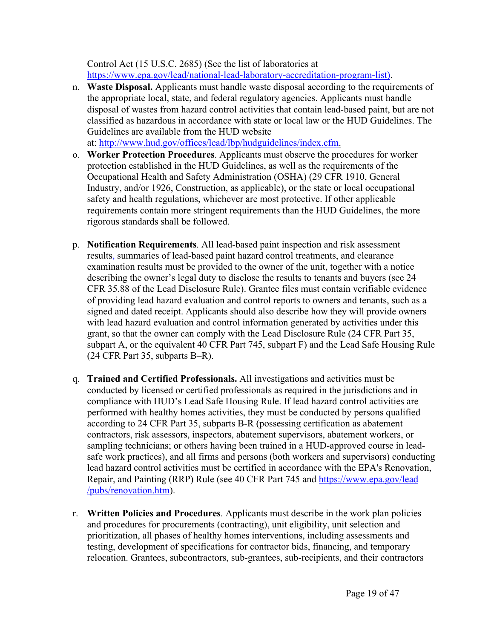Control Act (15 U.S.C. 2685) (See the list of laboratories at [https://www.epa.gov/lead/national-lead-laboratory-accreditation-program-list\).](https://www.epa.gov/lead/national-lead-laboratory-accreditation-program-list).)

n. **Waste Disposal.** Applicants must handle waste disposal according to the requirements of the appropriate local, state, and federal regulatory agencies. Applicants must handle disposal of wastes from hazard control activities that contain lead-based paint, but are not classified as hazardous in accordance with state or local law or the HUD Guidelines. The Guidelines are available from the HUD website

at: <http://www.hud.gov/offices/lead/lbp/hudguidelines/index.cfm.>

- o. **Worker Protection Procedures**. Applicants must observe the procedures for worker protection established in the HUD Guidelines, as well as the requirements of the Occupational Health and Safety Administration (OSHA) (29 CFR 1910, General Industry, and/or 1926, Construction, as applicable), or the state or local occupational safety and health regulations, whichever are most protective. If other applicable requirements contain more stringent requirements than the HUD Guidelines, the more rigorous standards shall be followed.
- p. **Notification Requirements**. All lead-based paint inspection and risk assessment results, summaries of lead-based paint hazard control treatments, and clearance examination results must be provided to the owner of the unit, together with a notice describing the owner's legal duty to disclose the results to tenants and buyers (see 24 CFR 35.88 of the Lead Disclosure Rule). Grantee files must contain verifiable evidence of providing lead hazard evaluation and control reports to owners and tenants, such as a signed and dated receipt. Applicants should also describe how they will provide owners with lead hazard evaluation and control information generated by activities under this grant, so that the owner can comply with the Lead Disclosure Rule (24 CFR Part 35, subpart A, or the equivalent 40 CFR Part 745, subpart F) and the Lead Safe Housing Rule (24 CFR Part 35, subparts B–R).
- q. **Trained and Certified Professionals.** All investigations and activities must be conducted by licensed or certified professionals as required in the jurisdictions and in compliance with HUD's Lead Safe Housing Rule. If lead hazard control activities are performed with healthy homes activities, they must be conducted by persons qualified according to 24 CFR Part 35, subparts B-R (possessing certification as abatement contractors, risk assessors, inspectors, abatement supervisors, abatement workers, or sampling technicians; or others having been trained in a HUD-approved course in leadsafe work practices), and all firms and persons (both workers and supervisors) conducting lead hazard control activities must be certified in accordance with the EPA's Renovation, Repair, and Painting (RRP) Rule (see 40 CFR Part 745 and [https://www.epa.gov/lead](https://www.epa.gov/lead%20/pubs/renovation.htm) [/pubs/renovation.htm](https://www.epa.gov/lead%20/pubs/renovation.htm)).
- r. **Written Policies and Procedures**. Applicants must describe in the work plan policies and procedures for procurements (contracting), unit eligibility, unit selection and prioritization, all phases of healthy homes interventions, including assessments and testing, development of specifications for contractor bids, financing, and temporary relocation. Grantees, subcontractors, sub-grantees, sub-recipients, and their contractors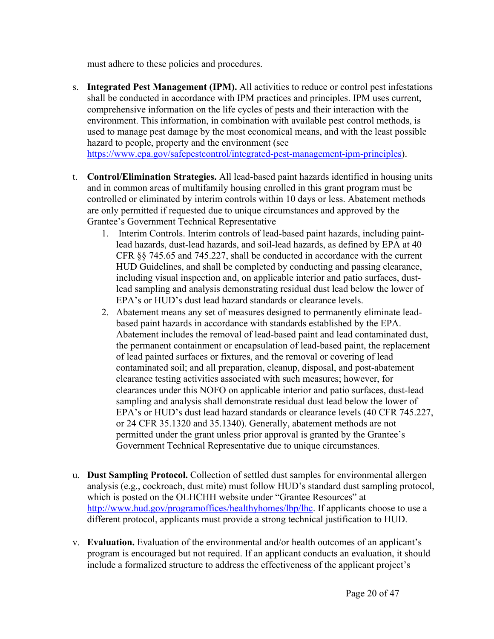must adhere to these policies and procedures.

- s. **Integrated Pest Management (IPM).** All activities to reduce or control pest infestations shall be conducted in accordance with IPM practices and principles. IPM uses current, comprehensive information on the life cycles of pests and their interaction with the environment. This information, in combination with available pest control methods, is used to manage pest damage by the most economical means, and with the least possible hazard to people, property and the environment (see [https://www.epa.gov/safepestcontrol/integrated-pest-management-ipm-principles\)](https://www.epa.gov/safepestcontrol/integrated-pest-management-ipm-principles).
- t. **Control/Elimination Strategies.** All lead-based paint hazards identified in housing units and in common areas of multifamily housing enrolled in this grant program must be controlled or eliminated by interim controls within 10 days or less. Abatement methods are only permitted if requested due to unique circumstances and approved by the Grantee's Government Technical Representative
	- 1. Interim Controls. Interim controls of lead-based paint hazards, including paintlead hazards, dust-lead hazards, and soil-lead hazards, as defined by EPA at 40 CFR §§ 745.65 and 745.227, shall be conducted in accordance with the current HUD Guidelines, and shall be completed by conducting and passing clearance, including visual inspection and, on applicable interior and patio surfaces, dustlead sampling and analysis demonstrating residual dust lead below the lower of EPA's or HUD's dust lead hazard standards or clearance levels.
	- 2. Abatement means any set of measures designed to permanently eliminate leadbased paint hazards in accordance with standards established by the EPA. Abatement includes the removal of lead-based paint and lead contaminated dust, the permanent containment or encapsulation of lead-based paint, the replacement of lead painted surfaces or fixtures, and the removal or covering of lead contaminated soil; and all preparation, cleanup, disposal, and post-abatement clearance testing activities associated with such measures; however, for clearances under this NOFO on applicable interior and patio surfaces, dust-lead sampling and analysis shall demonstrate residual dust lead below the lower of EPA's or HUD's dust lead hazard standards or clearance levels (40 CFR 745.227, or 24 CFR 35.1320 and 35.1340). Generally, abatement methods are not permitted under the grant unless prior approval is granted by the Grantee's Government Technical Representative due to unique circumstances.
- u. **Dust Sampling Protocol.** Collection of settled dust samples for environmental allergen analysis (e.g., cockroach, dust mite) must follow HUD's standard dust sampling protocol, which is posted on the OLHCHH website under "Grantee Resources" at [http://www.hud.gov/programoffices/healthyhomes/lbp/lhc.](http://www.hud.gov/programoffices/healthyhomes/lbp/lhc) If applicants choose to use a different protocol, applicants must provide a strong technical justification to HUD.
- v. **Evaluation.** Evaluation of the environmental and/or health outcomes of an applicant's program is encouraged but not required. If an applicant conducts an evaluation, it should include a formalized structure to address the effectiveness of the applicant project's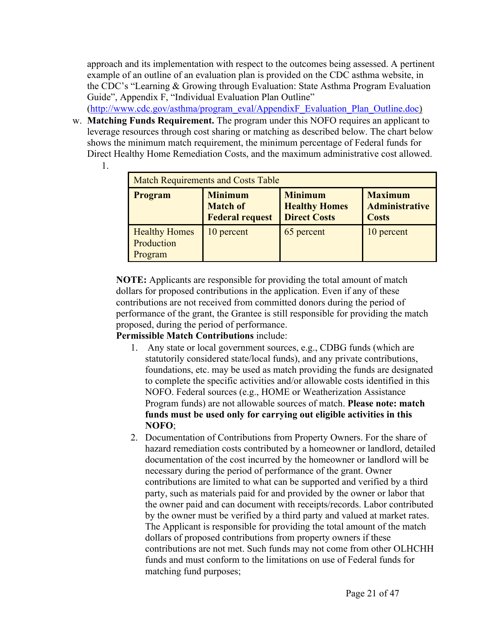approach and its implementation with respect to the outcomes being assessed. A pertinent example of an outline of an evaluation plan is provided on the CDC asthma website, in the CDC's "Learning & Growing through Evaluation: State Asthma Program Evaluation Guide", Appendix F, "Individual Evaluation Plan Outline"

([http://www.cdc.gov/asthma/program\\_eval/AppendixF\\_Evaluation\\_Plan\\_Outline.doc\)](http://www.cdc.gov/asthma/program_eval/AppendixF_Evaluation_Plan_Outline.doc);)

w. **Matching Funds Requirement.** The program under this NOFO requires an applicant to leverage resources through cost sharing or matching as described below. The chart below shows the minimum match requirement, the minimum percentage of Federal funds for Direct Healthy Home Remediation Costs, and the maximum administrative cost allowed. 1.

| <b>Match Requirements and Costs Table</b>     |                                                             |                                                               |                                                         |
|-----------------------------------------------|-------------------------------------------------------------|---------------------------------------------------------------|---------------------------------------------------------|
| <b>Program</b>                                | <b>Minimum</b><br><b>Match of</b><br><b>Federal request</b> | <b>Minimum</b><br><b>Healthy Homes</b><br><b>Direct Costs</b> | <b>Maximum</b><br><b>Administrative</b><br><b>Costs</b> |
| <b>Healthy Homes</b><br>Production<br>Program | 10 percent                                                  | 65 percent                                                    | 10 percent                                              |

**NOTE:** Applicants are responsible for providing the total amount of match dollars for proposed contributions in the application. Even if any of these contributions are not received from committed donors during the period of performance of the grant, the Grantee is still responsible for providing the match proposed, during the period of performance.

# **Permissible Match Contributions** include:

- 1. Any state or local government sources, e.g., CDBG funds (which are statutorily considered state/local funds), and any private contributions, foundations, etc. may be used as match providing the funds are designated to complete the specific activities and/or allowable costs identified in this NOFO. Federal sources (e.g., HOME or Weatherization Assistance Program funds) are not allowable sources of match. **Please note: match funds must be used only for carrying out eligible activities in this NOFO**;
- 2. Documentation of Contributions from Property Owners. For the share of hazard remediation costs contributed by a homeowner or landlord, detailed documentation of the cost incurred by the homeowner or landlord will be necessary during the period of performance of the grant. Owner contributions are limited to what can be supported and verified by a third party, such as materials paid for and provided by the owner or labor that the owner paid and can document with receipts/records. Labor contributed by the owner must be verified by a third party and valued at market rates. The Applicant is responsible for providing the total amount of the match dollars of proposed contributions from property owners if these contributions are not met. Such funds may not come from other OLHCHH funds and must conform to the limitations on use of Federal funds for matching fund purposes;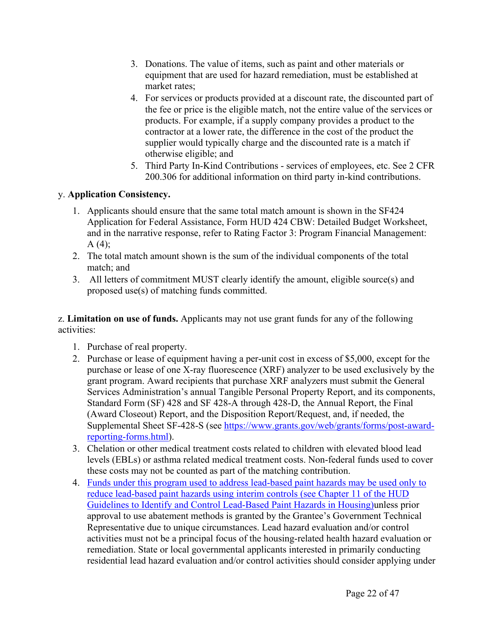- 3. Donations. The value of items, such as paint and other materials or equipment that are used for hazard remediation, must be established at market rates;
- 4. For services or products provided at a discount rate, the discounted part of the fee or price is the eligible match, not the entire value of the services or products. For example, if a supply company provides a product to the contractor at a lower rate, the difference in the cost of the product the supplier would typically charge and the discounted rate is a match if otherwise eligible; and
- 5. Third Party In-Kind Contributions services of employees, etc. See 2 CFR 200.306 for additional information on third party in-kind contributions.

# y. **Application Consistency.**

- 1. Applicants should ensure that the same total match amount is shown in the SF424 Application for Federal Assistance, Form HUD 424 CBW: Detailed Budget Worksheet, and in the narrative response, refer to Rating Factor 3: Program Financial Management:  $A(4)$ ;
- 2. The total match amount shown is the sum of the individual components of the total match; and
- 3. All letters of commitment MUST clearly identify the amount, eligible source(s) and proposed use(s) of matching funds committed.

z. **Limitation on use of funds.** Applicants may not use grant funds for any of the following activities:

- 1. Purchase of real property.
- 2. Purchase or lease of equipment having a per-unit cost in excess of \$5,000, except for the purchase or lease of one X-ray fluorescence (XRF) analyzer to be used exclusively by the grant program. Award recipients that purchase XRF analyzers must submit the General Services Administration's annual Tangible Personal Property Report, and its components, Standard Form (SF) 428 and SF 428-A through 428-D, the Annual Report, the Final (Award Closeout) Report, and the Disposition Report/Request, and, if needed, the Supplemental Sheet SF-428-S (see [https://www.grants.gov/web/grants/forms/post-award](https://www.grants.gov/web/grants/forms/post-award-reporting-forms.html)[reporting-forms.html\)](https://www.grants.gov/web/grants/forms/post-award-reporting-forms.html).
- 3. Chelation or other medical treatment costs related to children with elevated blood lead levels (EBLs) or asthma related medical treatment costs. Non-federal funds used to cover these costs may not be counted as part of the matching contribution.
- 4. Funds under this program used to address lead-based paint hazards may be used only to reduce lead-based paint hazards using interim controls (see Chapter 11 of the HUD Guidelines to Identify and Control Lead-Based Paint Hazards in Housing)unless prior approval to use abatement methods is granted by the Grantee's Government Technical Representative due to unique circumstances. Lead hazard evaluation and/or control activities must not be a principal focus of the housing-related health hazard evaluation or remediation. State or local governmental applicants interested in primarily conducting residential lead hazard evaluation and/or control activities should consider applying under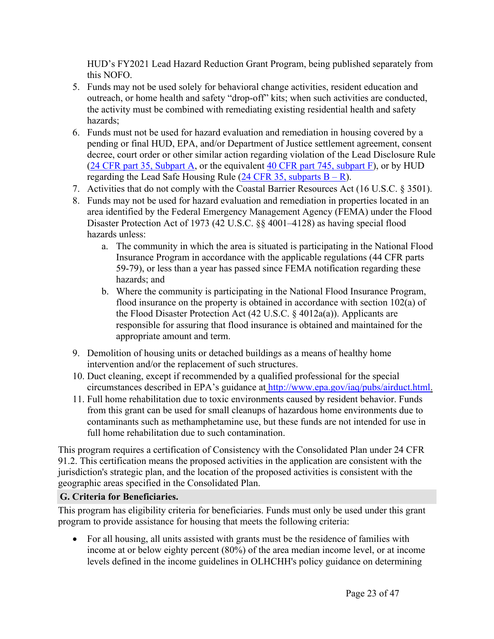HUD's FY2021 Lead Hazard Reduction Grant Program, being published separately from this NOFO.

- 5. Funds may not be used solely for behavioral change activities, resident education and outreach, or home health and safety "drop-off" kits; when such activities are conducted, the activity must be combined with remediating existing residential health and safety hazards;
- 6. Funds must not be used for hazard evaluation and remediation in housing covered by a pending or final HUD, EPA, and/or Department of Justice settlement agreement, consent decree, court order or other similar action regarding violation of the Lead Disclosure Rule (24 CFR part 35, [Subpart](https://www.ecfr.gov/cgi-bin/retrieveECFR?n=sp24.1.35.a) A, or the equivalent 40 CFR part 745, [subpart](https://www.ecfr.gov/cgi-bin/retrieveECFR?n=sp40.34.745.f) F), or by HUD regarding the Lead Safe Housing Rule  $(24 \text{ CFR } 35, \text{ subparts } B - R)$  $(24 \text{ CFR } 35, \text{ subparts } B - R)$  $(24 \text{ CFR } 35, \text{ subparts } B - R)$ .
- 7. Activities that do not comply with the Coastal Barrier Resources Act (16 U.S.C. § 3501).
- 8. Funds may not be used for hazard evaluation and remediation in properties located in an area identified by the Federal Emergency Management Agency (FEMA) under the Flood Disaster Protection Act of 1973 (42 U.S.C. §§ 4001–4128) as having special flood hazards unless:
	- a. The community in which the area is situated is participating in the National Flood Insurance Program in accordance with the applicable regulations (44 CFR parts 59-79), or less than a year has passed since FEMA notification regarding these hazards; and
	- b. Where the community is participating in the National Flood Insurance Program, flood insurance on the property is obtained in accordance with section 102(a) of the Flood Disaster Protection Act (42 U.S.C. § 4012a(a)). Applicants are responsible for assuring that flood insurance is obtained and maintained for the appropriate amount and term.
- 9. Demolition of housing units or detached buildings as a means of healthy home intervention and/or the replacement of such structures.
- 10. Duct cleaning, except if recommended by a qualified professional for the special circumstances described in EPA's guidance at <http://www.epa.gov/iaq/pubs/airduct.html.>
- 11. Full home rehabilitation due to toxic environments caused by resident behavior. Funds from this grant can be used for small cleanups of hazardous home environments due to contaminants such as methamphetamine use, but these funds are not intended for use in full home rehabilitation due to such contamination.

This program requires a certification of Consistency with the Consolidated Plan under 24 CFR 91.2. This certification means the proposed activities in the application are consistent with the jurisdiction's strategic plan, and the location of the proposed activities is consistent with the geographic areas specified in the Consolidated Plan.

#### <span id="page-23-0"></span>**G. Criteria for Beneficiaries.**

This program has eligibility criteria for beneficiaries. Funds must only be used under this grant program to provide assistance for housing that meets the following criteria:

 For all housing, all units assisted with grants must be the residence of families with income at or below eighty percent (80%) of the area median income level, or at income levels defined in the income guidelines in OLHCHH's policy guidance on determining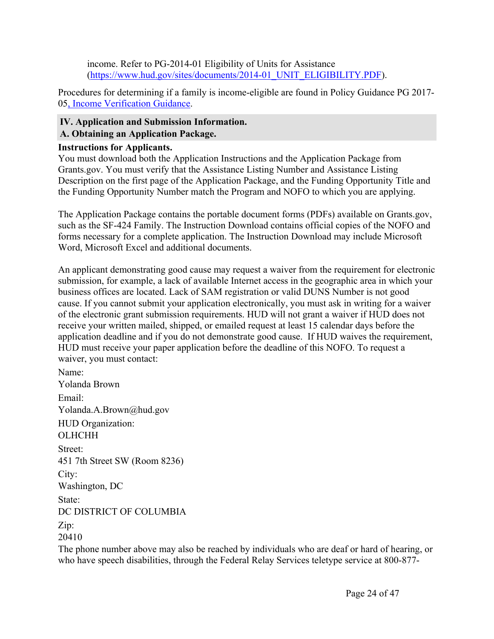income. Refer to PG-2014-01 Eligibility of Units for Assistance ([https://www.hud.gov/sites/documents/2014-01\\_UNIT\\_ELIGIBILITY.PDF\)](https://www.hud.gov/sites/documents/2014-01_UNIT_ELIGIBILITY.PDF).

Procedures for determining if a family is income-eligible are found in Policy Guidance PG 2017- 05, Income [Verification](https://www.hud.gov/sites/dfiles/HH/documents/PG%202017_05%20Income%20Verification%20Guidance%20Revision%20Finalrv.pdf) Guidance.

#### <span id="page-24-1"></span><span id="page-24-0"></span>**IV. Application and Submission Information. A. Obtaining an Application Package.**

#### **Instructions for Applicants.**

You must download both the Application Instructions and the Application Package from Grants.gov. You must verify that the Assistance Listing Number and Assistance Listing Description on the first page of the Application Package, and the Funding Opportunity Title and the Funding Opportunity Number match the Program and NOFO to which you are applying.

The Application Package contains the portable document forms (PDFs) available on Grants.gov, such as the SF-424 Family. The Instruction Download contains official copies of the NOFO and forms necessary for a complete application. The Instruction Download may include Microsoft Word, Microsoft Excel and additional documents.

An applicant demonstrating good cause may request a waiver from the requirement for electronic submission, for example, a lack of available Internet access in the geographic area in which your business offices are located. Lack of SAM registration or valid DUNS Number is not good cause. If you cannot submit your application electronically, you must ask in writing for a waiver of the electronic grant submission requirements. HUD will not grant a waiver if HUD does not receive your written mailed, shipped, or emailed request at least 15 calendar days before the application deadline and if you do not demonstrate good cause. If HUD waives the requirement, HUD must receive your paper application before the deadline of this NOFO. To request a waiver, you must contact:

Name: Yolanda Brown Email: Yolanda.A.Brown@hud.gov HUD Organization: **OLHCHH** Street: 451 7th Street SW (Room 8236) City: Washington, DC State: DC DISTRICT OF COLUMBIA Zip: 20410

The phone number above may also be reached by individuals who are deaf or hard of hearing, or who have speech disabilities, through the Federal Relay Services teletype service at 800-877-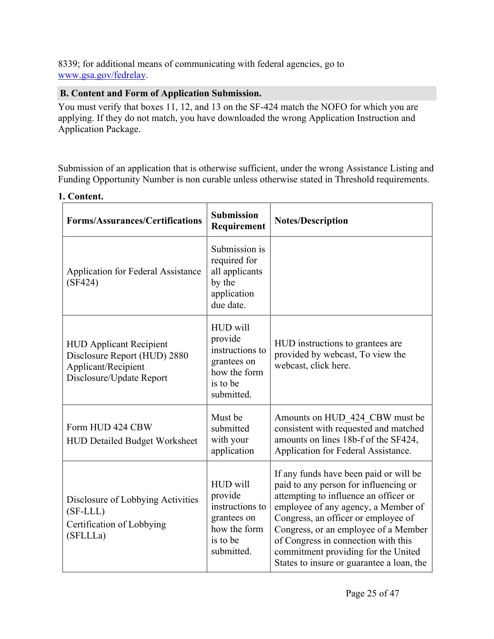8339; for additional means of communicating with federal agencies, go to [www.gsa.gov/fedrelay.](http://www.gsa.gov/fedrelay)

# <span id="page-25-0"></span>**B. Content and Form of Application Submission.**

You must verify that boxes 11, 12, and 13 on the SF-424 match the NOFO for which you are applying. If they do not match, you have downloaded the wrong Application Instruction and Application Package.

Submission of an application that is otherwise sufficient, under the wrong Assistance Listing and Funding Opportunity Number is non curable unless otherwise stated in Threshold requirements.

| <b>Forms/Assurances/Certifications</b>                                                                            | <b>Submission</b><br>Requirement                                                                | <b>Notes/Description</b>                                                                                                                                                                                                                                                                                                                                                  |
|-------------------------------------------------------------------------------------------------------------------|-------------------------------------------------------------------------------------------------|---------------------------------------------------------------------------------------------------------------------------------------------------------------------------------------------------------------------------------------------------------------------------------------------------------------------------------------------------------------------------|
| <b>Application for Federal Assistance</b><br>(SF424)                                                              | Submission is<br>required for<br>all applicants<br>by the<br>application<br>due date.           |                                                                                                                                                                                                                                                                                                                                                                           |
| <b>HUD Applicant Recipient</b><br>Disclosure Report (HUD) 2880<br>Applicant/Recipient<br>Disclosure/Update Report | HUD will<br>provide<br>instructions to<br>grantees on<br>how the form<br>is to be<br>submitted. | HUD instructions to grantees are<br>provided by webcast, To view the<br>webcast, click here.                                                                                                                                                                                                                                                                              |
| Form HUD 424 CBW<br><b>HUD Detailed Budget Worksheet</b>                                                          | Must be<br>submitted<br>with your<br>application                                                | Amounts on HUD 424 CBW must be<br>consistent with requested and matched<br>amounts on lines 18b-f of the SF424,<br>Application for Federal Assistance.                                                                                                                                                                                                                    |
| Disclosure of Lobbying Activities<br>$(SF\text{-}LLL)$<br>Certification of Lobbying<br>(SFLLLa)                   | HUD will<br>provide<br>instructions to<br>grantees on<br>how the form<br>is to be<br>submitted. | If any funds have been paid or will be<br>paid to any person for influencing or<br>attempting to influence an officer or<br>employee of any agency, a Member of<br>Congress, an officer or employee of<br>Congress, or an employee of a Member<br>of Congress in connection with this<br>commitment providing for the United<br>States to insure or guarantee a loan, the |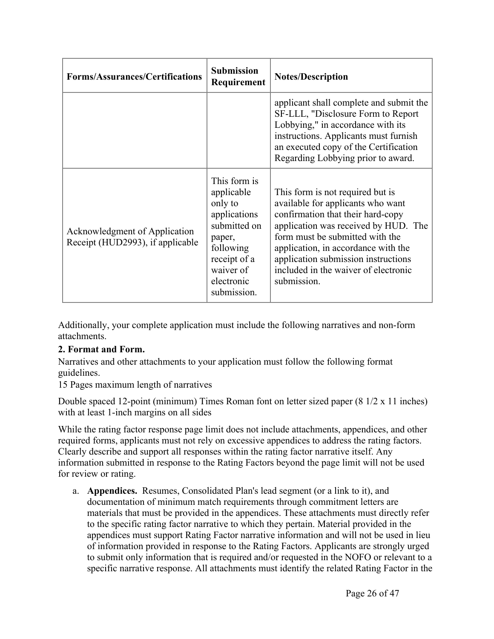| <b>Forms/Assurances/Certifications</b>                            | <b>Submission</b><br>Requirement                                                                                                                       | <b>Notes/Description</b>                                                                                                                                                                                                                                                                                                   |
|-------------------------------------------------------------------|--------------------------------------------------------------------------------------------------------------------------------------------------------|----------------------------------------------------------------------------------------------------------------------------------------------------------------------------------------------------------------------------------------------------------------------------------------------------------------------------|
|                                                                   |                                                                                                                                                        | applicant shall complete and submit the<br>SF-LLL, "Disclosure Form to Report<br>Lobbying," in accordance with its<br>instructions. Applicants must furnish<br>an executed copy of the Certification<br>Regarding Lobbying prior to award.                                                                                 |
| Acknowledgment of Application<br>Receipt (HUD2993), if applicable | This form is<br>applicable<br>only to<br>applications<br>submitted on<br>paper,<br>following<br>receipt of a<br>waiver of<br>electronic<br>submission. | This form is not required but is<br>available for applicants who want<br>confirmation that their hard-copy<br>application was received by HUD. The<br>form must be submitted with the<br>application, in accordance with the<br>application submission instructions<br>included in the waiver of electronic<br>submission. |

Additionally, your complete application must include the following narratives and non-form attachments.

# **2. Format and Form.**

Narratives and other attachments to your application must follow the following format guidelines.

15 Pages maximum length of narratives

Double spaced 12-point (minimum) Times Roman font on letter sized paper (8 1/2 x 11 inches) with at least 1-inch margins on all sides

While the rating factor response page limit does not include attachments, appendices, and other required forms, applicants must not rely on excessive appendices to address the rating factors. Clearly describe and support all responses within the rating factor narrative itself. Any information submitted in response to the Rating Factors beyond the page limit will not be used for review or rating.

a. **Appendices.** Resumes, Consolidated Plan's lead segment (or a link to it), and documentation of minimum match requirements through commitment letters are materials that must be provided in the appendices. These attachments must directly refer to the specific rating factor narrative to which they pertain. Material provided in the appendices must support Rating Factor narrative information and will not be used in lieu of information provided in response to the Rating Factors. Applicants are strongly urged to submit only information that is required and/or requested in the NOFO or relevant to a specific narrative response. All attachments must identify the related Rating Factor in the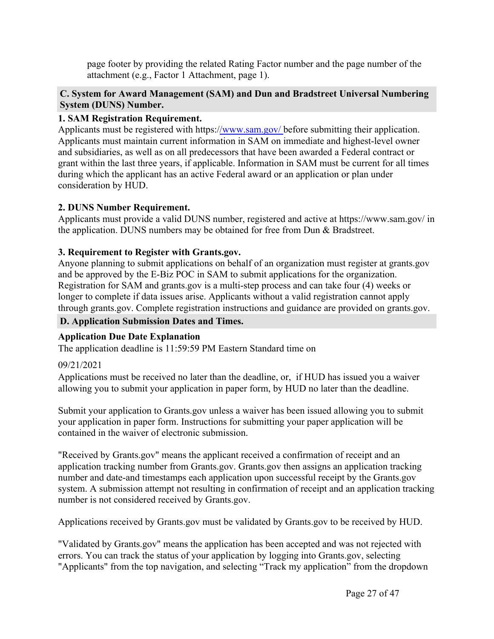page footer by providing the related Rating Factor number and the page number of the attachment (e.g., Factor 1 Attachment, page 1).

### <span id="page-27-0"></span>**C. System for Award Management (SAM) and Dun and Bradstreet Universal Numbering System (DUNS) Number.**

# **1. SAM Registration Requirement.**

Applicants must be registered with https:[//www.sam.gov/](http://www.sam.gov/) before submitting their application. Applicants must maintain current information in SAM on immediate and highest-level owner and subsidiaries, as well as on all predecessors that have been awarded a Federal contract or grant within the last three years, if applicable. Information in SAM must be current for all times during which the applicant has an active Federal award or an application or plan under consideration by HUD.

#### **2. DUNS Number Requirement.**

Applicants must provide a valid DUNS number, registered and active at https://www.sam.gov/ in the application. DUNS numbers may be obtained for free from Dun & Bradstreet.

#### **3. Requirement to Register with Grants.gov.**

Anyone planning to submit applications on behalf of an organization must register at grants.gov and be approved by the E-Biz POC in SAM to submit applications for the organization. Registration for SAM and grants.gov is a multi-step process and can take four (4) weeks or longer to complete if data issues arise. Applicants without a valid registration cannot apply through grants.gov. Complete registration instructions and guidance are provided on grants.gov.

#### <span id="page-27-1"></span>**D. Application Submission Dates and Times.**

# **Application Due Date Explanation**

The application deadline is 11:59:59 PM Eastern Standard time on

#### 09/21/2021

Applications must be received no later than the deadline, or, if HUD has issued you a waiver allowing you to submit your application in paper form, by HUD no later than the deadline.

Submit your application to Grants.gov unless a waiver has been issued allowing you to submit your application in paper form. Instructions for submitting your paper application will be contained in the waiver of electronic submission.

"Received by Grants.gov" means the applicant received a confirmation of receipt and an application tracking number from Grants.gov. Grants.gov then assigns an application tracking number and date-and timestamps each application upon successful receipt by the Grants.gov system. A submission attempt not resulting in confirmation of receipt and an application tracking number is not considered received by Grants.gov.

Applications received by Grants.gov must be validated by Grants.gov to be received by HUD.

"Validated by Grants.gov" means the application has been accepted and was not rejected with errors. You can track the status of your application by logging into Grants.gov, selecting "Applicants" from the top navigation, and selecting "Track my application" from the dropdown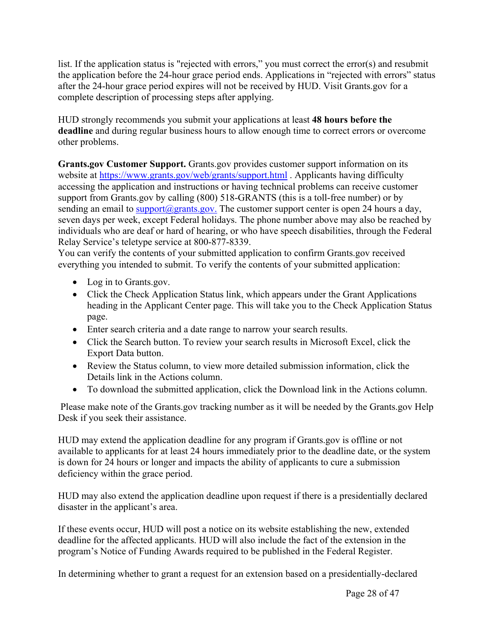list. If the application status is "rejected with errors," you must correct the error(s) and resubmit the application before the 24-hour grace period ends. Applications in "rejected with errors" status after the 24-hour grace period expires will not be received by HUD. Visit Grants.gov for a complete description of processing steps after applying.

HUD strongly recommends you submit your applications at least **48 hours before the deadline** and during regular business hours to allow enough time to correct errors or overcome other problems.

**Grants.gov Customer Support.** Grants.gov provides customer support information on its website at <https://www.grants.gov/web/grants/support.html> . Applicants having difficulty accessing the application and instructions or having technical problems can receive customer support from Grants.gov by calling (800) 518-GRANTS (this is a toll-free number) or by sending an email to support $(a)$ grants.gov. The customer support center is open 24 hours a day, seven days per week, except Federal holidays. The phone number above may also be reached by individuals who are deaf or hard of hearing, or who have speech disabilities, through the Federal Relay Service's teletype service at 800-877-8339.

You can verify the contents of your submitted application to confirm Grants.gov received everything you intended to submit. To verify the contents of your submitted application:

- Log in to Grants.gov.
- Click the Check Application Status link, which appears under the Grant Applications heading in the Applicant Center page. This will take you to the Check Application Status page.
- Enter search criteria and a date range to narrow your search results.
- Click the Search button. To review your search results in Microsoft Excel, click the Export Data button.
- Review the Status column, to view more detailed submission information, click the Details link in the Actions column.
- To download the submitted application, click the Download link in the Actions column.

Please make note of the Grants.gov tracking number as it will be needed by the Grants.gov Help Desk if you seek their assistance.

HUD may extend the application deadline for any program if Grants.gov is offline or not available to applicants for at least 24 hours immediately prior to the deadline date, or the system is down for 24 hours or longer and impacts the ability of applicants to cure a submission deficiency within the grace period.

HUD may also extend the application deadline upon request if there is a presidentially declared disaster in the applicant's area.

If these events occur, HUD will post a notice on its website establishing the new, extended deadline for the affected applicants. HUD will also include the fact of the extension in the program's Notice of Funding Awards required to be published in the Federal Register.

In determining whether to grant a request for an extension based on a presidentially-declared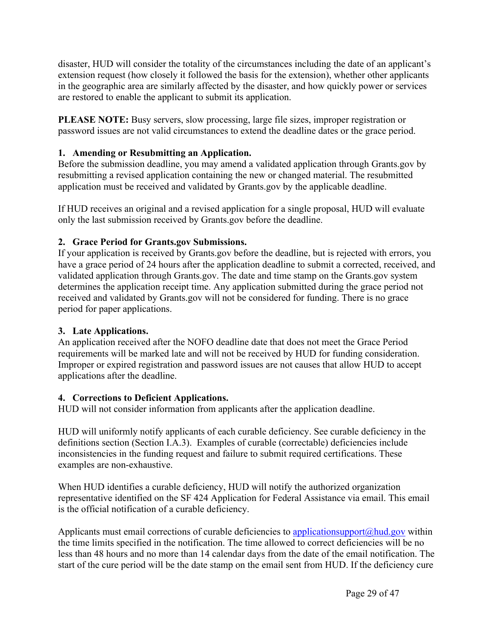disaster, HUD will consider the totality of the circumstances including the date of an applicant's extension request (how closely it followed the basis for the extension), whether other applicants in the geographic area are similarly affected by the disaster, and how quickly power or services are restored to enable the applicant to submit its application.

**PLEASE NOTE:** Busy servers, slow processing, large file sizes, improper registration or password issues are not valid circumstances to extend the deadline dates or the grace period.

### **1. Amending or Resubmitting an Application.**

Before the submission deadline, you may amend a validated application through Grants.gov by resubmitting a revised application containing the new or changed material. The resubmitted application must be received and validated by Grants.gov by the applicable deadline.

If HUD receives an original and a revised application for a single proposal, HUD will evaluate only the last submission received by Grants.gov before the deadline.

#### **2. Grace Period for Grants.gov Submissions.**

If your application is received by Grants.gov before the deadline, but is rejected with errors, you have a grace period of 24 hours after the application deadline to submit a corrected, received, and validated application through Grants.gov. The date and time stamp on the Grants.gov system determines the application receipt time. Any application submitted during the grace period not received and validated by Grants.gov will not be considered for funding. There is no grace period for paper applications.

#### **3. Late Applications.**

An application received after the NOFO deadline date that does not meet the Grace Period requirements will be marked late and will not be received by HUD for funding consideration. Improper or expired registration and password issues are not causes that allow HUD to accept applications after the deadline.

#### **4. Corrections to Deficient Applications.**

HUD will not consider information from applicants after the application deadline.

HUD will uniformly notify applicants of each curable deficiency. See curable deficiency in the definitions section (Section I.A.3). Examples of curable (correctable) deficiencies include inconsistencies in the funding request and failure to submit required certifications. These examples are non-exhaustive.

When HUD identifies a curable deficiency, HUD will notify the authorized organization representative identified on the SF 424 Application for Federal Assistance via email. This email is the official notification of a curable deficiency.

Applicants must email corrections of curable deficiencies to applicationsupport $\omega$ hud.gov within the time limits specified in the notification. The time allowed to correct deficiencies will be no less than 48 hours and no more than 14 calendar days from the date of the email notification. The start of the cure period will be the date stamp on the email sent from HUD. If the deficiency cure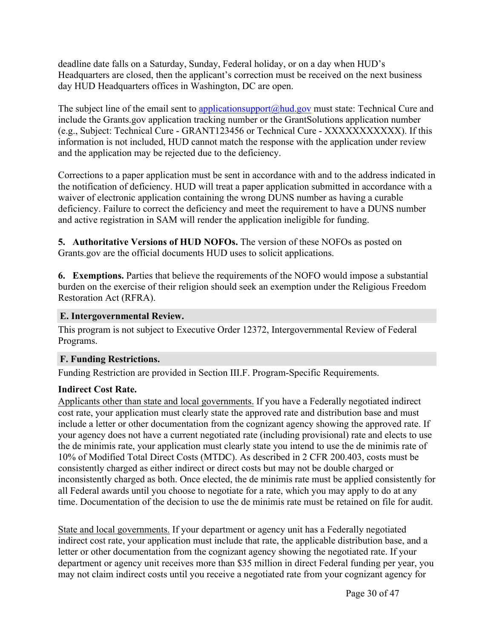deadline date falls on a Saturday, Sunday, Federal holiday, or on a day when HUD's Headquarters are closed, then the applicant's correction must be received on the next business day HUD Headquarters offices in Washington, DC are open.

The subject line of the email sent to [applicationsupport@hud.gov](mailto:applicationsupport@hud.gov) must state: Technical Cure and include the Grants.gov application tracking number or the GrantSolutions application number (e.g., Subject: Technical Cure - GRANT123456 or Technical Cure - XXXXXXXXXXX). If this information is not included, HUD cannot match the response with the application under review and the application may be rejected due to the deficiency.

Corrections to a paper application must be sent in accordance with and to the address indicated in the notification of deficiency. HUD will treat a paper application submitted in accordance with a waiver of electronic application containing the wrong DUNS number as having a curable deficiency. Failure to correct the deficiency and meet the requirement to have a DUNS number and active registration in SAM will render the application ineligible for funding.

**5. Authoritative Versions of HUD NOFOs.** The version of these NOFOs as posted on Grants.gov are the official documents HUD uses to solicit applications.

**6. Exemptions.** Parties that believe the requirements of the NOFO would impose a substantial burden on the exercise of their religion should seek an exemption under the Religious Freedom Restoration Act (RFRA).

#### <span id="page-30-0"></span>**E. Intergovernmental Review.**

This program is not subject to Executive Order 12372, Intergovernmental Review of Federal Programs.

# <span id="page-30-1"></span>**F. Funding Restrictions.**

Funding Restriction are provided in Section III.F. Program-Specific Requirements.

# **Indirect Cost Rate.**

Applicants other than state and local governments. If you have a Federally negotiated indirect cost rate, your application must clearly state the approved rate and distribution base and must include a letter or other documentation from the cognizant agency showing the approved rate. If your agency does not have a current negotiated rate (including provisional) rate and elects to use the de minimis rate, your application must clearly state you intend to use the de minimis rate of 10% of Modified Total Direct Costs (MTDC). As described in 2 CFR 200.403, costs must be consistently charged as either indirect or direct costs but may not be double charged or inconsistently charged as both. Once elected, the de minimis rate must be applied consistently for all Federal awards until you choose to negotiate for a rate, which you may apply to do at any time. Documentation of the decision to use the de minimis rate must be retained on file for audit.

State and local governments. If your department or agency unit has a Federally negotiated indirect cost rate, your application must include that rate, the applicable distribution base, and a letter or other documentation from the cognizant agency showing the negotiated rate. If your department or agency unit receives more than \$35 million in direct Federal funding per year, you may not claim indirect costs until you receive a negotiated rate from your cognizant agency for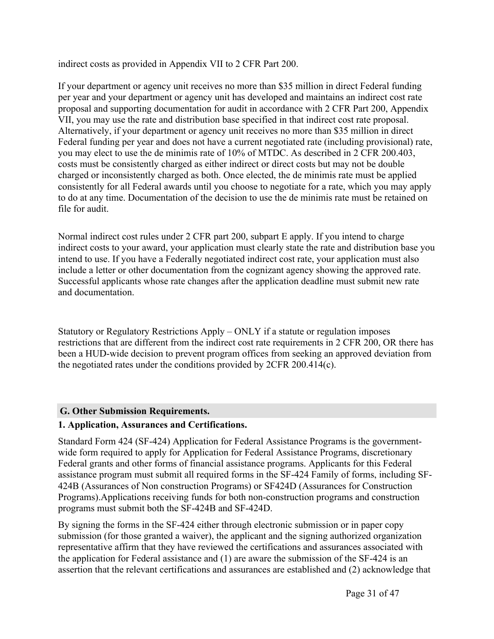indirect costs as provided in Appendix VII to 2 CFR Part 200.

If your department or agency unit receives no more than \$35 million in direct Federal funding per year and your department or agency unit has developed and maintains an indirect cost rate proposal and supporting documentation for audit in accordance with 2 CFR Part 200, Appendix VII, you may use the rate and distribution base specified in that indirect cost rate proposal. Alternatively, if your department or agency unit receives no more than \$35 million in direct Federal funding per year and does not have a current negotiated rate (including provisional) rate, you may elect to use the de minimis rate of 10% of MTDC. As described in 2 CFR 200.403, costs must be consistently charged as either indirect or direct costs but may not be double charged or inconsistently charged as both. Once elected, the de minimis rate must be applied consistently for all Federal awards until you choose to negotiate for a rate, which you may apply to do at any time. Documentation of the decision to use the de minimis rate must be retained on file for audit.

Normal indirect cost rules under 2 CFR part 200, subpart E apply. If you intend to charge indirect costs to your award, your application must clearly state the rate and distribution base you intend to use. If you have a Federally negotiated indirect cost rate, your application must also include a letter or other documentation from the cognizant agency showing the approved rate. Successful applicants whose rate changes after the application deadline must submit new rate and documentation.

Statutory or Regulatory Restrictions Apply – ONLY if a statute or regulation imposes restrictions that are different from the indirect cost rate requirements in 2 CFR 200, OR there has been a HUD-wide decision to prevent program offices from seeking an approved deviation from the negotiated rates under the conditions provided by 2CFR 200.414(c).

# <span id="page-31-0"></span>**G. Other Submission Requirements.**

# **1. Application, Assurances and Certifications.**

Standard Form 424 (SF-424) Application for Federal Assistance Programs is the governmentwide form required to apply for Application for Federal Assistance Programs, discretionary Federal grants and other forms of financial assistance programs. Applicants for this Federal assistance program must submit all required forms in the SF-424 Family of forms, including SF-424B (Assurances of Non construction Programs) or SF424D (Assurances for Construction Programs).Applications receiving funds for both non-construction programs and construction programs must submit both the SF-424B and SF-424D.

By signing the forms in the SF-424 either through electronic submission or in paper copy submission (for those granted a waiver), the applicant and the signing authorized organization representative affirm that they have reviewed the certifications and assurances associated with the application for Federal assistance and (1) are aware the submission of the SF-424 is an assertion that the relevant certifications and assurances are established and (2) acknowledge that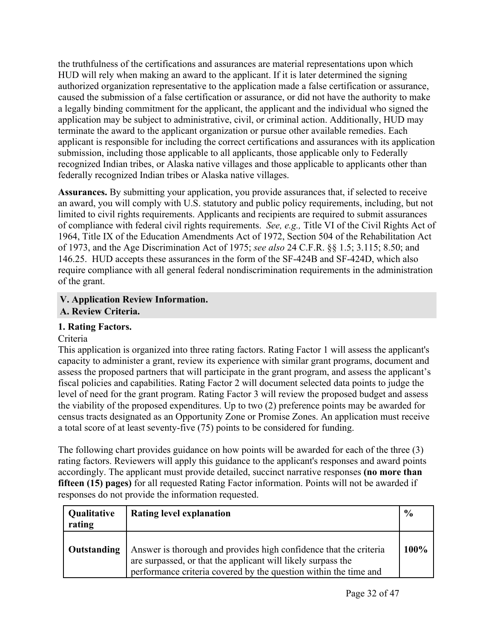the truthfulness of the certifications and assurances are material representations upon which HUD will rely when making an award to the applicant. If it is later determined the signing authorized organization representative to the application made a false certification or assurance, caused the submission of a false certification or assurance, or did not have the authority to make a legally binding commitment for the applicant, the applicant and the individual who signed the application may be subject to administrative, civil, or criminal action. Additionally, HUD may terminate the award to the applicant organization or pursue other available remedies. Each applicant is responsible for including the correct certifications and assurances with its application submission, including those applicable to all applicants, those applicable only to Federally recognized Indian tribes, or Alaska native villages and those applicable to applicants other than federally recognized Indian tribes or Alaska native villages.

**Assurances.** By submitting your application, you provide assurances that, if selected to receive an award, you will comply with U.S. statutory and public policy requirements, including, but not limited to civil rights requirements. Applicants and recipients are required to submit assurances of compliance with federal civil rights requirements. *See, e.g.,* Title VI of the Civil Rights Act of 1964, Title IX of the Education Amendments Act of 1972, Section 504 of the Rehabilitation Act of 1973, and the Age Discrimination Act of 1975; *see also* 24 C.F.R. §§ 1.5; 3.115; 8.50; and 146.25. HUD accepts these assurances in the form of the SF-424B and SF-424D, which also require compliance with all general federal nondiscrimination requirements in the administration of the grant.

# <span id="page-32-1"></span><span id="page-32-0"></span>**V. Application Review Information. A. Review Criteria.**

# **1. Rating Factors.**

# Criteria

This application is organized into three rating factors. Rating Factor 1 will assess the applicant's capacity to administer a grant, review its experience with similar grant programs, document and assess the proposed partners that will participate in the grant program, and assess the applicant's fiscal policies and capabilities. Rating Factor 2 will document selected data points to judge the level of need for the grant program. Rating Factor 3 will review the proposed budget and assess the viability of the proposed expenditures. Up to two (2) preference points may be awarded for census tracts designated as an Opportunity Zone or Promise Zones. An application must receive a total score of at least seventy-five (75) points to be considered for funding.

The following chart provides guidance on how points will be awarded for each of the three (3) rating factors. Reviewers will apply this guidance to the applicant's responses and award points accordingly. The applicant must provide detailed, succinct narrative responses **(no more than fifteen (15) pages)** for all requested Rating Factor information. Points will not be awarded if responses do not provide the information requested.

| Qualitative<br>rating | <b>Rating level explanation</b>                                                                                                                                                                       | $\frac{6}{6}$ |
|-----------------------|-------------------------------------------------------------------------------------------------------------------------------------------------------------------------------------------------------|---------------|
| Outstanding           | Answer is thorough and provides high confidence that the criteria<br>are surpassed, or that the applicant will likely surpass the<br>performance criteria covered by the question within the time and | 100%          |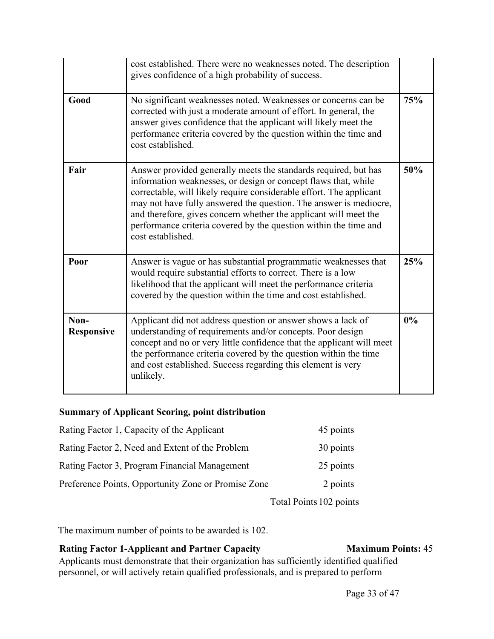|                           | cost established. There were no weaknesses noted. The description<br>gives confidence of a high probability of success.                                                                                                                                                                                                                                                                                                                    |     |
|---------------------------|--------------------------------------------------------------------------------------------------------------------------------------------------------------------------------------------------------------------------------------------------------------------------------------------------------------------------------------------------------------------------------------------------------------------------------------------|-----|
| Good                      | No significant weaknesses noted. Weaknesses or concerns can be<br>corrected with just a moderate amount of effort. In general, the<br>answer gives confidence that the applicant will likely meet the<br>performance criteria covered by the question within the time and<br>cost established.                                                                                                                                             | 75% |
| Fair                      | Answer provided generally meets the standards required, but has<br>information weaknesses, or design or concept flaws that, while<br>correctable, will likely require considerable effort. The applicant<br>may not have fully answered the question. The answer is mediocre,<br>and therefore, gives concern whether the applicant will meet the<br>performance criteria covered by the question within the time and<br>cost established. | 50% |
| Poor                      | Answer is vague or has substantial programmatic weaknesses that<br>would require substantial efforts to correct. There is a low<br>likelihood that the applicant will meet the performance criteria<br>covered by the question within the time and cost established.                                                                                                                                                                       | 25% |
| Non-<br><b>Responsive</b> | Applicant did not address question or answer shows a lack of<br>understanding of requirements and/or concepts. Poor design<br>concept and no or very little confidence that the applicant will meet<br>the performance criteria covered by the question within the time<br>and cost established. Success regarding this element is very<br>unlikely.                                                                                       | 0%  |

#### **Summary of Applicant Scoring, point distribution**

| 45 points |
|-----------|
| 30 points |
| 25 points |
| 2 points  |
|           |

Total Points 102 points

The maximum number of points to be awarded is 102.

### **Rating Factor 1-Applicant and Partner Capacity Maximum Points:** 45

Applicants must demonstrate that their organization has sufficiently identified qualified personnel, or will actively retain qualified professionals, and is prepared to perform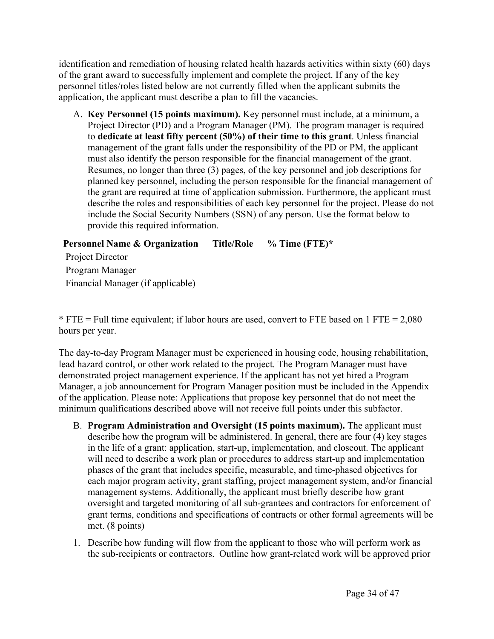identification and remediation of housing related health hazards activities within sixty (60) days of the grant award to successfully implement and complete the project. If any of the key personnel titles/roles listed below are not currently filled when the applicant submits the application, the applicant must describe a plan to fill the vacancies.

A. **Key Personnel (15 points maximum).** Key personnel must include, at a minimum, a Project Director (PD) and a Program Manager (PM). The program manager is required to **dedicate at least fifty percent (50%) of their time to this grant**. Unless financial management of the grant falls under the responsibility of the PD or PM, the applicant must also identify the person responsible for the financial management of the grant. Resumes, no longer than three (3) pages, of the key personnel and job descriptions for planned key personnel, including the person responsible for the financial management of the grant are required at time of application submission. Furthermore, the applicant must describe the roles and responsibilities of each key personnel for the project. Please do not include the Social Security Numbers (SSN) of any person. Use the format below to provide this required information.

**Personnel Name & Organization Title/Role % Time (FTE)\***

Project Director Program Manager Financial Manager (if applicable)

 $*$  FTE = Full time equivalent; if labor hours are used, convert to FTE based on 1 FTE = 2,080 hours per year.

The day-to-day Program Manager must be experienced in housing code, housing rehabilitation, lead hazard control, or other work related to the project. The Program Manager must have demonstrated project management experience. If the applicant has not yet hired a Program Manager, a job announcement for Program Manager position must be included in the Appendix of the application. Please note: Applications that propose key personnel that do not meet the minimum qualifications described above will not receive full points under this subfactor.

- B. **Program Administration and Oversight (15 points maximum).** The applicant must describe how the program will be administered. In general, there are four (4) key stages in the life of a grant: application, start-up, implementation, and closeout. The applicant will need to describe a work plan or procedures to address start-up and implementation phases of the grant that includes specific, measurable, and time-phased objectives for each major program activity, grant staffing, project management system, and/or financial management systems. Additionally, the applicant must briefly describe how grant oversight and targeted monitoring of all sub-grantees and contractors for enforcement of grant terms, conditions and specifications of contracts or other formal agreements will be met. (8 points)
- 1. Describe how funding will flow from the applicant to those who will perform work as the sub-recipients or contractors. Outline how grant-related work will be approved prior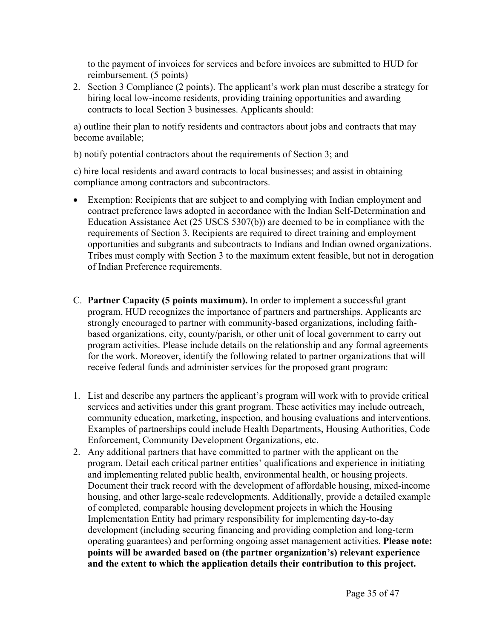to the payment of invoices for services and before invoices are submitted to HUD for reimbursement. (5 points)

2. Section 3 Compliance (2 points). The applicant's work plan must describe a strategy for hiring local low-income residents, providing training opportunities and awarding contracts to local Section 3 businesses. Applicants should:

a) outline their plan to notify residents and contractors about jobs and contracts that may become available;

b) notify potential contractors about the requirements of Section 3; and

c) hire local residents and award contracts to local businesses; and assist in obtaining compliance among contractors and subcontractors.

- Exemption: Recipients that are subject to and complying with Indian employment and contract preference laws adopted in accordance with the Indian Self-Determination and Education Assistance Act (25 USCS 5307(b)) are deemed to be in compliance with the requirements of Section 3. Recipients are required to direct training and employment opportunities and subgrants and subcontracts to Indians and Indian owned organizations. Tribes must comply with Section 3 to the maximum extent feasible, but not in derogation of Indian Preference requirements.
- C. **Partner Capacity (5 points maximum).** In order to implement a successful grant program, HUD recognizes the importance of partners and partnerships. Applicants are strongly encouraged to partner with community-based organizations, including faithbased organizations, city, county/parish, or other unit of local government to carry out program activities. Please include details on the relationship and any formal agreements for the work. Moreover, identify the following related to partner organizations that will receive federal funds and administer services for the proposed grant program:
- 1. List and describe any partners the applicant's program will work with to provide critical services and activities under this grant program. These activities may include outreach, community education, marketing, inspection, and housing evaluations and interventions. Examples of partnerships could include Health Departments, Housing Authorities, Code Enforcement, Community Development Organizations, etc.
- 2. Any additional partners that have committed to partner with the applicant on the program. Detail each critical partner entities' qualifications and experience in initiating and implementing related public health, environmental health, or housing projects. Document their track record with the development of affordable housing, mixed-income housing, and other large-scale redevelopments. Additionally, provide a detailed example of completed, comparable housing development projects in which the Housing Implementation Entity had primary responsibility for implementing day-to-day development (including securing financing and providing completion and long-term operating guarantees) and performing ongoing asset management activities. **Please note: points will be awarded based on (the partner organization's) relevant experience and the extent to which the application details their contribution to this project.**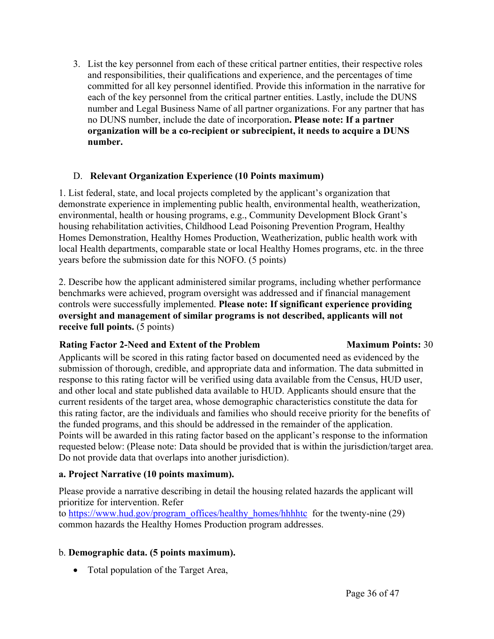3. List the key personnel from each of these critical partner entities, their respective roles and responsibilities, their qualifications and experience, and the percentages of time committed for all key personnel identified. Provide this information in the narrative for each of the key personnel from the critical partner entities. Lastly, include the DUNS number and Legal Business Name of all partner organizations. For any partner that has no DUNS number, include the date of incorporation**. Please note: If a partner organization will be a co-recipient or subrecipient, it needs to acquire a DUNS number.**

#### D. **Relevant Organization Experience (10 Points maximum)**

1. List federal, state, and local projects completed by the applicant's organization that demonstrate experience in implementing public health, environmental health, weatherization, environmental, health or housing programs, e.g., Community Development Block Grant's housing rehabilitation activities, Childhood Lead Poisoning Prevention Program, Healthy Homes Demonstration, Healthy Homes Production, Weatherization, public health work with local Health departments, comparable state or local Healthy Homes programs, etc. in the three years before the submission date for this NOFO. (5 points)

2. Describe how the applicant administered similar programs, including whether performance benchmarks were achieved, program oversight was addressed and if financial management controls were successfully implemented. **Please note: If significant experience providing oversight and management of similar programs is not described, applicants will not receive full points.** (5 points)

# **Rating Factor 2-Need and Extent of the Problem Maximum Points:** 30

Applicants will be scored in this rating factor based on documented need as evidenced by the submission of thorough, credible, and appropriate data and information. The data submitted in response to this rating factor will be verified using data available from the Census, HUD user, and other local and state published data available to HUD. Applicants should ensure that the current residents of the target area, whose demographic characteristics constitute the data for this rating factor, are the individuals and families who should receive priority for the benefits of the funded programs, and this should be addressed in the remainder of the application. Points will be awarded in this rating factor based on the applicant's response to the information requested below: (Please note: Data should be provided that is within the jurisdiction/target area. Do not provide data that overlaps into another jurisdiction).

# **a. Project Narrative (10 points maximum).**

Please provide a narrative describing in detail the housing related hazards the applicant will prioritize for intervention. Refer

to [https://www.hud.gov/program\\_offices/healthy\\_homes/hhhhtc](https://www.hud.gov/program_offices/healthy_homes/hhhhtc) for the twenty-nine (29) common hazards the Healthy Homes Production program addresses.

# b. **Demographic data. (5 points maximum).**

• Total population of the Target Area,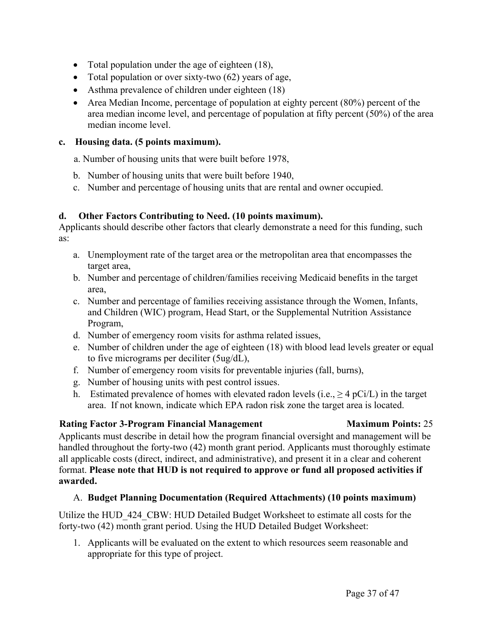- Total population under the age of eighteen (18),
- Total population or over sixty-two  $(62)$  years of age,
- Asthma prevalence of children under eighteen (18)
- Area Median Income, percentage of population at eighty percent (80%) percent of the area median income level, and percentage of population at fifty percent (50%) of the area median income level.

#### **c. Housing data. (5 points maximum).**

a. Number of housing units that were built before 1978,

- b. Number of housing units that were built before 1940,
- c. Number and percentage of housing units that are rental and owner occupied.

# **d. Other Factors Contributing to Need. (10 points maximum).**

Applicants should describe other factors that clearly demonstrate a need for this funding, such as:

- a. Unemployment rate of the target area or the metropolitan area that encompasses the target area,
- b. Number and percentage of children/families receiving Medicaid benefits in the target area,
- c. Number and percentage of families receiving assistance through the Women, Infants, and Children (WIC) program, Head Start, or the Supplemental Nutrition Assistance Program,
- d. Number of emergency room visits for asthma related issues,
- e. Number of children under the age of eighteen (18) with blood lead levels greater or equal to five micrograms per deciliter (5ug/dL),
- f. Number of emergency room visits for preventable injuries (fall, burns),
- g. Number of housing units with pest control issues.
- h. Estimated prevalence of homes with elevated radon levels (i.e.,  $\geq 4$  pCi/L) in the target area. If not known, indicate which EPA radon risk zone the target area is located.

# **Rating Factor 3-Program Financial Management Maximum Points:** 25

Applicants must describe in detail how the program financial oversight and management will be handled throughout the forty-two (42) month grant period. Applicants must thoroughly estimate all applicable costs (direct, indirect, and administrative), and present it in a clear and coherent format. **Please note that HUD is not required to approve or fund all proposed activities if awarded.**

# A. **Budget Planning Documentation (Required Attachments) (10 points maximum)**

Utilize the HUD\_424\_CBW: HUD Detailed Budget Worksheet to estimate all costs for the forty-two (42) month grant period. Using the HUD Detailed Budget Worksheet:

1. Applicants will be evaluated on the extent to which resources seem reasonable and appropriate for this type of project.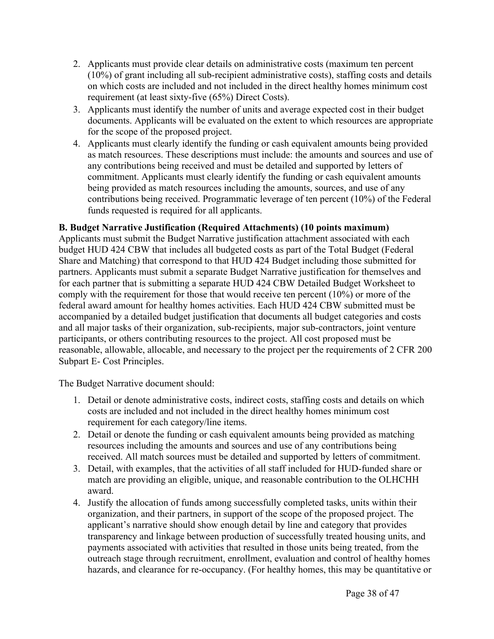- 2. Applicants must provide clear details on administrative costs (maximum ten percent (10%) of grant including all sub-recipient administrative costs), staffing costs and details on which costs are included and not included in the direct healthy homes minimum cost requirement (at least sixty-five (65%) Direct Costs).
- 3. Applicants must identify the number of units and average expected cost in their budget documents. Applicants will be evaluated on the extent to which resources are appropriate for the scope of the proposed project.
- 4. Applicants must clearly identify the funding or cash equivalent amounts being provided as match resources. These descriptions must include: the amounts and sources and use of any contributions being received and must be detailed and supported by letters of commitment. Applicants must clearly identify the funding or cash equivalent amounts being provided as match resources including the amounts, sources, and use of any contributions being received. Programmatic leverage of ten percent (10%) of the Federal funds requested is required for all applicants.

#### **B. Budget Narrative Justification (Required Attachments) (10 points maximum)**

Applicants must submit the Budget Narrative justification attachment associated with each budget HUD 424 CBW that includes all budgeted costs as part of the Total Budget (Federal Share and Matching) that correspond to that HUD 424 Budget including those submitted for partners. Applicants must submit a separate Budget Narrative justification for themselves and for each partner that is submitting a separate HUD 424 CBW Detailed Budget Worksheet to comply with the requirement for those that would receive ten percent (10%) or more of the federal award amount for healthy homes activities. Each HUD 424 CBW submitted must be accompanied by a detailed budget justification that documents all budget categories and costs and all major tasks of their organization, sub-recipients, major sub-contractors, joint venture participants, or others contributing resources to the project. All cost proposed must be reasonable, allowable, allocable, and necessary to the project per the requirements of 2 CFR 200 Subpart E- Cost Principles.

The Budget Narrative document should:

- 1. Detail or denote administrative costs, indirect costs, staffing costs and details on which costs are included and not included in the direct healthy homes minimum cost requirement for each category/line items.
- 2. Detail or denote the funding or cash equivalent amounts being provided as matching resources including the amounts and sources and use of any contributions being received. All match sources must be detailed and supported by letters of commitment.
- 3. Detail, with examples, that the activities of all staff included for HUD-funded share or match are providing an eligible, unique, and reasonable contribution to the OLHCHH award.
- 4. Justify the allocation of funds among successfully completed tasks, units within their organization, and their partners, in support of the scope of the proposed project. The applicant's narrative should show enough detail by line and category that provides transparency and linkage between production of successfully treated housing units, and payments associated with activities that resulted in those units being treated, from the outreach stage through recruitment, enrollment, evaluation and control of healthy homes hazards, and clearance for re-occupancy. (For healthy homes, this may be quantitative or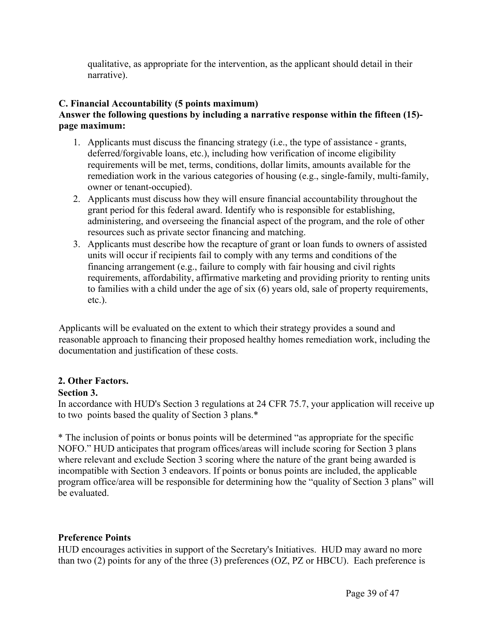qualitative, as appropriate for the intervention, as the applicant should detail in their narrative).

#### **C. Financial Accountability (5 points maximum)**

#### **Answer the following questions by including a narrative response within the fifteen (15) page maximum:**

- 1. Applicants must discuss the financing strategy (i.e., the type of assistance grants, deferred/forgivable loans, etc.), including how verification of income eligibility requirements will be met, terms, conditions, dollar limits, amounts available for the remediation work in the various categories of housing (e.g., single-family, multi-family, owner or tenant-occupied).
- 2. Applicants must discuss how they will ensure financial accountability throughout the grant period for this federal award. Identify who is responsible for establishing, administering, and overseeing the financial aspect of the program, and the role of other resources such as private sector financing and matching.
- 3. Applicants must describe how the recapture of grant or loan funds to owners of assisted units will occur if recipients fail to comply with any terms and conditions of the financing arrangement (e.g., failure to comply with fair housing and civil rights requirements, affordability, affirmative marketing and providing priority to renting units to families with a child under the age of six (6) years old, sale of property requirements, etc.).

Applicants will be evaluated on the extent to which their strategy provides a sound and reasonable approach to financing their proposed healthy homes remediation work, including the documentation and justification of these costs.

# **2. Other Factors.**

#### **Section 3.**

In accordance with HUD's Section 3 regulations at 24 CFR 75.7, your application will receive up to two points based the quality of Section 3 plans.\*

\* The inclusion of points or bonus points will be determined "as appropriate for the specific NOFO." HUD anticipates that program offices/areas will include scoring for Section 3 plans where relevant and exclude Section 3 scoring where the nature of the grant being awarded is incompatible with Section 3 endeavors. If points or bonus points are included, the applicable program office/area will be responsible for determining how the "quality of Section 3 plans" will be evaluated.

#### **Preference Points**

HUD encourages activities in support of the Secretary's Initiatives. HUD may award no more than two (2) points for any of the three (3) preferences (OZ, PZ or HBCU). Each preference is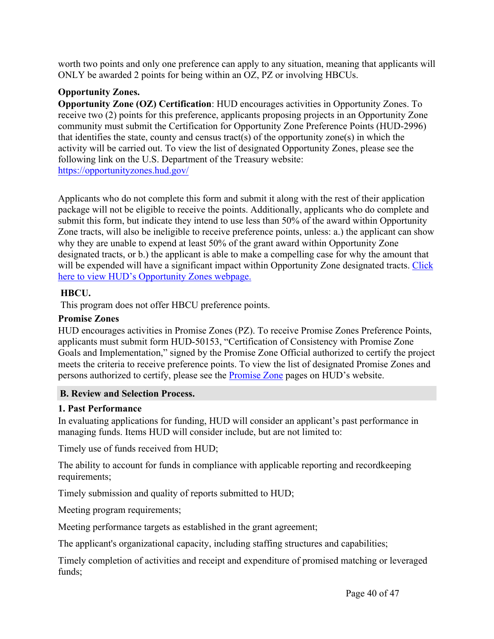worth two points and only one preference can apply to any situation, meaning that applicants will ONLY be awarded 2 points for being within an OZ, PZ or involving HBCUs.

#### **Opportunity Zones.**

**Opportunity Zone (OZ) Certification**: HUD encourages activities in Opportunity Zones. To receive two (2) points for this preference, applicants proposing projects in an Opportunity Zone community must submit the Certification for Opportunity Zone Preference Points (HUD-2996) that identifies the state, county and census tract(s) of the opportunity zone(s) in which the activity will be carried out. To view the list of designated Opportunity Zones, please see the following link on the U.S. Department of the Treasury website: <https://opportunityzones.hud.gov/>

Applicants who do not complete this form and submit it along with the rest of their application package will not be eligible to receive the points. Additionally, applicants who do complete and submit this form, but indicate they intend to use less than 50% of the award within Opportunity Zone tracts, will also be ineligible to receive preference points, unless: a.) the applicant can show why they are unable to expend at least 50% of the grant award within Opportunity Zone designated tracts, or b.) the applicant is able to make a compelling case for why the amount that will be expended will have a significant impact within Opportunity Zone designated tracts. [Click](https://opportunityzones.hud.gov/) here to view HUD's [Opportunity](https://opportunityzones.hud.gov/) Zones webpage.

#### **HBCU.**

This program does not offer HBCU preference points.

#### **Promise Zones**

HUD encourages activities in Promise Zones (PZ). To receive Promise Zones Preference Points, applicants must submit form HUD-50153, "Certification of Consistency with Promise Zone Goals and Implementation," signed by the Promise Zone Official authorized to certify the project meets the criteria to receive preference points. To view the list of designated Promise Zones and persons authorized to certify, please see the [Promise](https://www.hudexchange.info/programs/promise-zones/) Zone pages on HUD's website.

#### <span id="page-40-0"></span>**B. Review and Selection Process.**

#### **1. Past Performance**

In evaluating applications for funding, HUD will consider an applicant's past performance in managing funds. Items HUD will consider include, but are not limited to:

Timely use of funds received from HUD;

The ability to account for funds in compliance with applicable reporting and recordkeeping requirements;

Timely submission and quality of reports submitted to HUD;

Meeting program requirements;

Meeting performance targets as established in the grant agreement;

The applicant's organizational capacity, including staffing structures and capabilities;

Timely completion of activities and receipt and expenditure of promised matching or leveraged funds;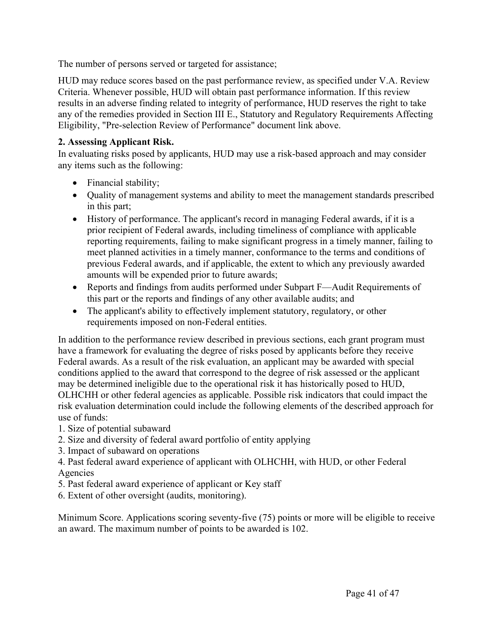The number of persons served or targeted for assistance;

HUD may reduce scores based on the past performance review, as specified under V.A. Review Criteria. Whenever possible, HUD will obtain past performance information. If this review results in an adverse finding related to integrity of performance, HUD reserves the right to take any of the remedies provided in Section III E., Statutory and Regulatory Requirements Affecting Eligibility, "Pre-selection Review of Performance" document link above.

# **2. Assessing Applicant Risk.**

In evaluating risks posed by applicants, HUD may use a risk-based approach and may consider any items such as the following:

- Financial stability;
- Quality of management systems and ability to meet the management standards prescribed in this part;
- History of performance. The applicant's record in managing Federal awards, if it is a prior recipient of Federal awards, including timeliness of compliance with applicable reporting requirements, failing to make significant progress in a timely manner, failing to meet planned activities in a timely manner, conformance to the terms and conditions of previous Federal awards, and if applicable, the extent to which any previously awarded amounts will be expended prior to future awards;
- Reports and findings from audits performed under Subpart F—Audit Requirements of this part or the reports and findings of any other available audits; and
- The applicant's ability to effectively implement statutory, regulatory, or other requirements imposed on non-Federal entities.

In addition to the performance review described in previous sections, each grant program must have a framework for evaluating the degree of risks posed by applicants before they receive Federal awards. As a result of the risk evaluation, an applicant may be awarded with special conditions applied to the award that correspond to the degree of risk assessed or the applicant may be determined ineligible due to the operational risk it has historically posed to HUD, OLHCHH or other federal agencies as applicable. Possible risk indicators that could impact the risk evaluation determination could include the following elements of the described approach for use of funds:

- 1. Size of potential subaward
- 2. Size and diversity of federal award portfolio of entity applying
- 3. Impact of subaward on operations
- 4. Past federal award experience of applicant with OLHCHH, with HUD, or other Federal Agencies
- 5. Past federal award experience of applicant or Key staff
- 6. Extent of other oversight (audits, monitoring).

Minimum Score. Applications scoring seventy-five (75) points or more will be eligible to receive an award. The maximum number of points to be awarded is 102.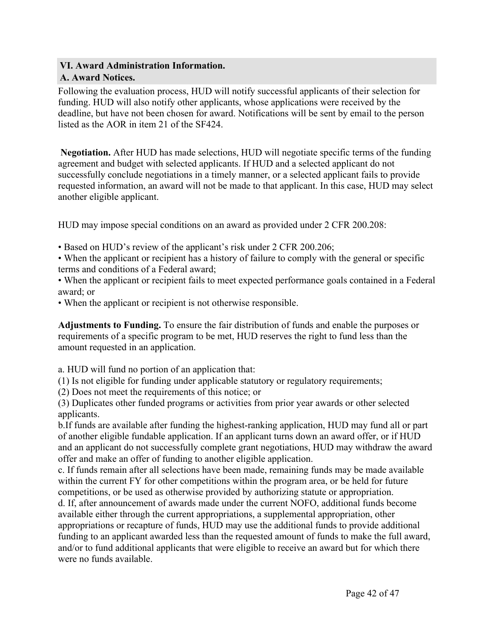#### <span id="page-42-1"></span><span id="page-42-0"></span>**VI. Award Administration Information. A. Award Notices.**

Following the evaluation process, HUD will notify successful applicants of their selection for funding. HUD will also notify other applicants, whose applications were received by the deadline, but have not been chosen for award. Notifications will be sent by email to the person listed as the AOR in item 21 of the SF424.

**Negotiation.** After HUD has made selections, HUD will negotiate specific terms of the funding agreement and budget with selected applicants. If HUD and a selected applicant do not successfully conclude negotiations in a timely manner, or a selected applicant fails to provide requested information, an award will not be made to that applicant. In this case, HUD may select another eligible applicant.

HUD may impose special conditions on an award as provided under 2 CFR 200.208:

- Based on HUD's review of the applicant's risk under 2 CFR 200.206;
- When the applicant or recipient has a history of failure to comply with the general or specific terms and conditions of a Federal award;
- When the applicant or recipient fails to meet expected performance goals contained in a Federal award; or
- When the applicant or recipient is not otherwise responsible.

**Adjustments to Funding.** To ensure the fair distribution of funds and enable the purposes or requirements of a specific program to be met, HUD reserves the right to fund less than the amount requested in an application.

a. HUD will fund no portion of an application that:

(1) Is not eligible for funding under applicable statutory or regulatory requirements;

(2) Does not meet the requirements of this notice; or

(3) Duplicates other funded programs or activities from prior year awards or other selected applicants.

b.If funds are available after funding the highest-ranking application, HUD may fund all or part of another eligible fundable application. If an applicant turns down an award offer, or if HUD and an applicant do not successfully complete grant negotiations, HUD may withdraw the award offer and make an offer of funding to another eligible application.

c. If funds remain after all selections have been made, remaining funds may be made available within the current FY for other competitions within the program area, or be held for future competitions, or be used as otherwise provided by authorizing statute or appropriation.

d. If, after announcement of awards made under the current NOFO, additional funds become available either through the current appropriations, a supplemental appropriation, other appropriations or recapture of funds, HUD may use the additional funds to provide additional funding to an applicant awarded less than the requested amount of funds to make the full award, and/or to fund additional applicants that were eligible to receive an award but for which there were no funds available.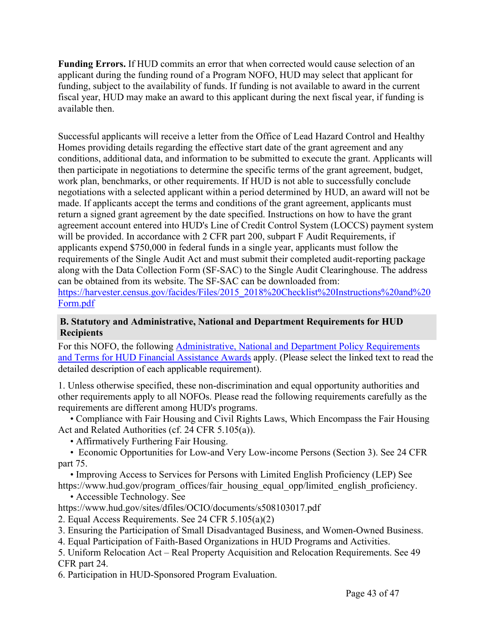**Funding Errors.** If HUD commits an error that when corrected would cause selection of an applicant during the funding round of a Program NOFO, HUD may select that applicant for funding, subject to the availability of funds. If funding is not available to award in the current fiscal year, HUD may make an award to this applicant during the next fiscal year, if funding is available then.

Successful applicants will receive a letter from the Office of Lead Hazard Control and Healthy Homes providing details regarding the effective start date of the grant agreement and any conditions, additional data, and information to be submitted to execute the grant. Applicants will then participate in negotiations to determine the specific terms of the grant agreement, budget, work plan, benchmarks, or other requirements. If HUD is not able to successfully conclude negotiations with a selected applicant within a period determined by HUD, an award will not be made. If applicants accept the terms and conditions of the grant agreement, applicants must return a signed grant agreement by the date specified. Instructions on how to have the grant agreement account entered into HUD's Line of Credit Control System (LOCCS) payment system will be provided. In accordance with 2 CFR part 200, subpart F Audit Requirements, if applicants expend \$750,000 in federal funds in a single year, applicants must follow the requirements of the Single Audit Act and must submit their completed audit-reporting package along with the Data Collection Form (SF-SAC) to the Single Audit Clearinghouse. The address can be obtained from its website. The SF-SAC can be downloaded from: [https://harvester.census.gov/facides/Files/2015\\_2018%20Checklist%20Instructions%20and%20](https://harvester.census.gov/facides/Files/2015_2018%20Checklist%20Instructions%20and%20Form.pdf) [Form.pdf](https://harvester.census.gov/facides/Files/2015_2018%20Checklist%20Instructions%20and%20Form.pdf)

#### <span id="page-43-0"></span>**B. Statutory and Administrative, National and Department Requirements for HUD Recipients**

For this NOFO, the following [Administrative,](https://www.hud.gov/sites/dfiles/CFO/images/General%20Administration%20Requirements%20and%20Terms%20for%20HUD%20Assistance%20Awards.docx) National and Department Policy Requirements and Terms for HUD Financial [Assistance](https://www.hud.gov/sites/dfiles/CFO/images/General%20Administration%20Requirements%20and%20Terms%20for%20HUD%20Assistance%20Awards.docx) Awards apply. (Please select the linked text to read the detailed description of each applicable requirement).

1. Unless otherwise specified, these non-discrimination and equal opportunity authorities and other requirements apply to all NOFOs. Please read the following requirements carefully as the requirements are different among HUD's programs.

• Compliance with Fair Housing and Civil Rights Laws, Which Encompass the Fair Housing Act and Related Authorities (cf. 24 CFR 5.105(a)).

• Affirmatively Furthering Fair Housing.

• Economic Opportunities for Low-and Very Low-income Persons (Section 3). See 24 CFR part 75.

• Improving Access to Services for Persons with Limited English Proficiency (LEP) See https://www.hud.gov/program\_offices/fair\_housing\_equal\_opp/limited\_english\_proficiency.

• Accessible Technology. See

https://www.hud.gov/sites/dfiles/OCIO/documents/s508103017.pdf

- 2. Equal Access Requirements. See 24 CFR 5.105(a)(2)
- 3. Ensuring the Participation of Small Disadvantaged Business, and Women-Owned Business.

4. Equal Participation of Faith-Based Organizations in HUD Programs and Activities.

5. Uniform Relocation Act – Real Property Acquisition and Relocation Requirements. See 49 CFR part 24.

6. Participation in HUD-Sponsored Program Evaluation.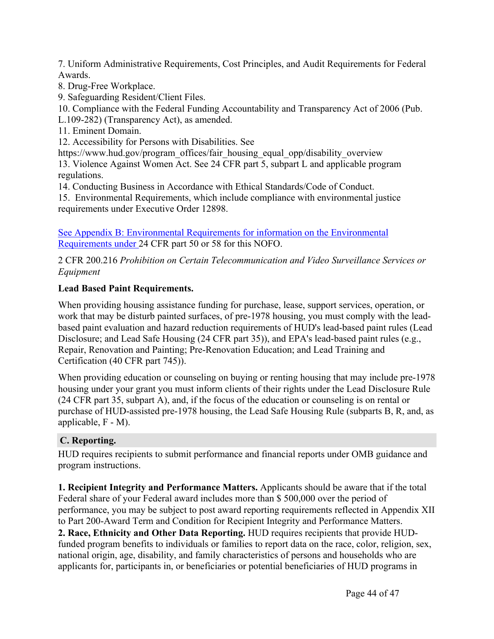7. Uniform Administrative Requirements, Cost Principles, and Audit Requirements for Federal Awards.

- 8. Drug-Free Workplace.
- 9. Safeguarding Resident/Client Files.

10. Compliance with the Federal Funding Accountability and Transparency Act of 2006 (Pub.

L.109-282) (Transparency Act), as amended.

11. Eminent Domain.

12. Accessibility for Persons with Disabilities. See

https://www.hud.gov/program\_offices/fair\_housing\_equal\_opp/disability\_overview\_

13. Violence Against Women Act. See 24 CFR part 5, subpart L and applicable program regulations.

14. Conducting Business in Accordance with Ethical Standards/Code of Conduct.

15. Environmental Requirements, which include compliance with environmental justice requirements under Executive Order 12898.

See Appendix B: Environmental Requirements for information on the Environmental Requirements under 24 CFR part 50 or 58 for this NOFO.

2 CFR 200.216 *Prohibition on Certain Telecommunication and Video Surveillance Services or Equipment*

# **Lead Based Paint Requirements.**

When providing housing assistance funding for purchase, lease, support services, operation, or work that may be disturb painted surfaces, of pre-1978 housing, you must comply with the leadbased paint evaluation and hazard reduction requirements of HUD's lead-based paint rules (Lead Disclosure; and Lead Safe Housing (24 CFR part 35)), and EPA's lead-based paint rules (e.g., Repair, Renovation and Painting; Pre-Renovation Education; and Lead Training and Certification (40 CFR part 745)).

When providing education or counseling on buying or renting housing that may include pre-1978 housing under your grant you must inform clients of their rights under the Lead Disclosure Rule (24 CFR part 35, subpart A), and, if the focus of the education or counseling is on rental or purchase of HUD-assisted pre-1978 housing, the Lead Safe Housing Rule (subparts B, R, and, as applicable, F - M).

# <span id="page-44-0"></span>**C. Reporting.**

HUD requires recipients to submit performance and financial reports under OMB guidance and program instructions.

**1. Recipient Integrity and Performance Matters.** Applicants should be aware that if the total Federal share of your Federal award includes more than \$ 500,000 over the period of performance, you may be subject to post award reporting requirements reflected in Appendix XII to Part 200-Award Term and Condition for Recipient Integrity and Performance Matters. **2. Race, Ethnicity and Other Data Reporting.** HUD requires recipients that provide HUDfunded program benefits to individuals or families to report data on the race, color, religion, sex, national origin, age, disability, and family characteristics of persons and households who are applicants for, participants in, or beneficiaries or potential beneficiaries of HUD programs in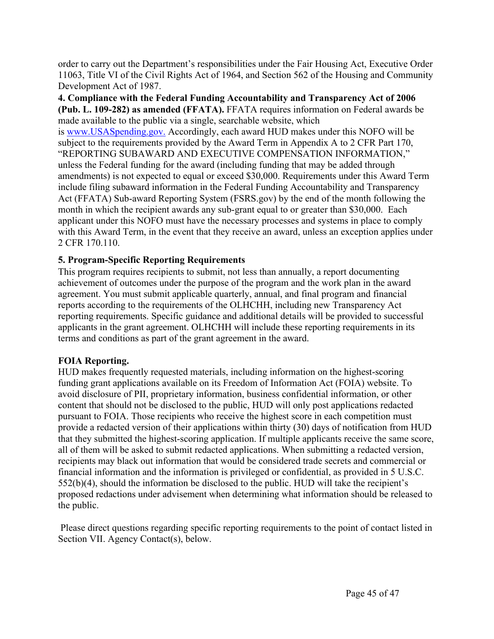order to carry out the Department's responsibilities under the Fair Housing Act, Executive Order 11063, Title VI of the Civil Rights Act of 1964, and Section 562 of the Housing and Community Development Act of 1987.

**4. Compliance with the Federal Funding Accountability and Transparency Act of 2006 (Pub. L. 109-282) as amended (FFATA).** FFATA requires information on Federal awards be made available to the public via a single, searchable website, which

is [www.USASpending.gov.](http://www.USASpending.gov/) Accordingly, each award HUD makes under this NOFO will be subject to the requirements provided by the Award Term in Appendix A to 2 CFR Part 170, "REPORTING SUBAWARD AND EXECUTIVE COMPENSATION INFORMATION," unless the Federal funding for the award (including funding that may be added through amendments) is not expected to equal or exceed \$30,000. Requirements under this Award Term include filing subaward information in the Federal Funding Accountability and Transparency Act (FFATA) Sub-award Reporting System (FSRS.gov) by the end of the month following the month in which the recipient awards any sub-grant equal to or greater than \$30,000. Each applicant under this NOFO must have the necessary processes and systems in place to comply with this Award Term, in the event that they receive an award, unless an exception applies under 2 CFR 170.110.

#### **5. Program-Specific Reporting Requirements**

This program requires recipients to submit, not less than annually, a report documenting achievement of outcomes under the purpose of the program and the work plan in the award agreement. You must submit applicable quarterly, annual, and final program and financial reports according to the requirements of the OLHCHH, including new Transparency Act reporting requirements. Specific guidance and additional details will be provided to successful applicants in the grant agreement. OLHCHH will include these reporting requirements in its terms and conditions as part of the grant agreement in the award.

#### **FOIA Reporting.**

HUD makes frequently requested materials, including information on the highest-scoring funding grant applications available on its Freedom of Information Act (FOIA) website. To avoid disclosure of PII, proprietary information, business confidential information, or other content that should not be disclosed to the public, HUD will only post applications redacted pursuant to FOIA. Those recipients who receive the highest score in each competition must provide a redacted version of their applications within thirty (30) days of notification from HUD that they submitted the highest-scoring application. If multiple applicants receive the same score, all of them will be asked to submit redacted applications. When submitting a redacted version, recipients may black out information that would be considered trade secrets and commercial or financial information and the information is privileged or confidential, as provided in 5 U.S.C. 552(b)(4), should the information be disclosed to the public. HUD will take the recipient's proposed redactions under advisement when determining what information should be released to the public.

Please direct questions regarding specific reporting requirements to the point of contact listed in Section VII. Agency Contact(s), below.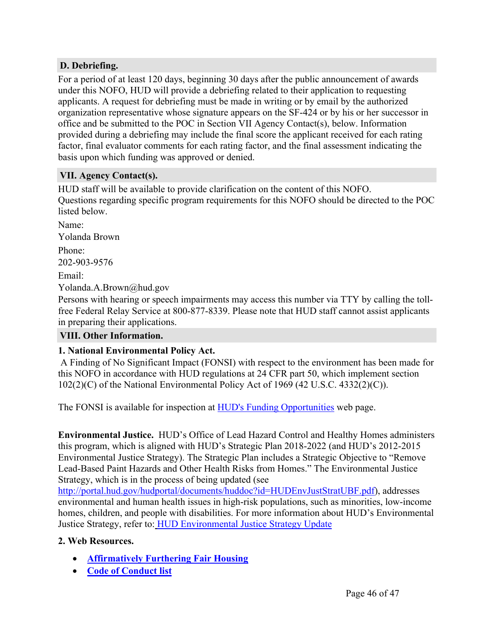### <span id="page-46-0"></span>**D. Debriefing.**

For a period of at least 120 days, beginning 30 days after the public announcement of awards under this NOFO, HUD will provide a debriefing related to their application to requesting applicants. A request for debriefing must be made in writing or by email by the authorized organization representative whose signature appears on the SF-424 or by his or her successor in office and be submitted to the POC in Section VII Agency Contact(s), below. Information provided during a debriefing may include the final score the applicant received for each rating factor, final evaluator comments for each rating factor, and the final assessment indicating the basis upon which funding was approved or denied.

#### <span id="page-46-1"></span>**VII. Agency Contact(s).**

HUD staff will be available to provide clarification on the content of this NOFO. Questions regarding specific program requirements for this NOFO should be directed to the POC listed below.

Name: Yolanda Brown Phone: 202-903-9576 Email: Yolanda.A.Brown@hud.gov

Persons with hearing or speech impairments may access this number via TTY by calling the tollfree Federal Relay Service at 800-877-8339. Please note that HUD staff cannot assist applicants in preparing their applications.

# <span id="page-46-2"></span>**VIII. Other Information.**

#### **1. National Environmental Policy Act.**

A Finding of No Significant Impact (FONSI) with respect to the environment has been made for this NOFO in accordance with HUD regulations at 24 CFR part 50, which implement section 102(2)(C) of the National Environmental Policy Act of 1969 (42 U.S.C. 4332(2)(C)).

The FONSI is available for inspection at HUD's Funding [Opportunities](https://www.hud.gov/program_offices/spm/gmomgmt/grantsinfo/fundingopps) web page.

**Environmental Justice.** HUD's Office of Lead Hazard Control and Healthy Homes administers this program, which is aligned with HUD's Strategic Plan 2018-2022 (and HUD's 2012-2015 Environmental Justice Strategy). The Strategic Plan includes a Strategic Objective to "Remove Lead-Based Paint Hazards and Other Health Risks from Homes." The Environmental Justice Strategy, which is in the process of being updated (see

<http://portal.hud.gov/hudportal/documents/huddoc?id=HUDEnvJustStratUBF.pdf>), addresses environmental and human health issues in high-risk populations, such as minorities, low-income homes, children, and people with disabilities. For more information about HUD's Environmental Justice Strategy, refer to: HUD [Environmental](http://portal.hud.gov/hudportal/documents/huddoc?id=envjustice.pdf%20and%20the%20August%202015%20HUD%20Environmental%20Justice%20Strategy%20Update,%20at%20http://portal.hud.gov/hudportal/documents/huddoc?id=HUDEnvJustStratUBF.pdf) Justice Strategy Update

#### **2. Web Resources.**

- **[Affirmatively](https://www.hud.gov/program_offices/fair_housing_equal_opp/fair_housing_rights_and_obligations) Furthering Fair Housing**
- **Code of [Conduct](https://www.hud.gov/program_offices/spm/gmomgmt/grantsinfo/conductgrants) list**